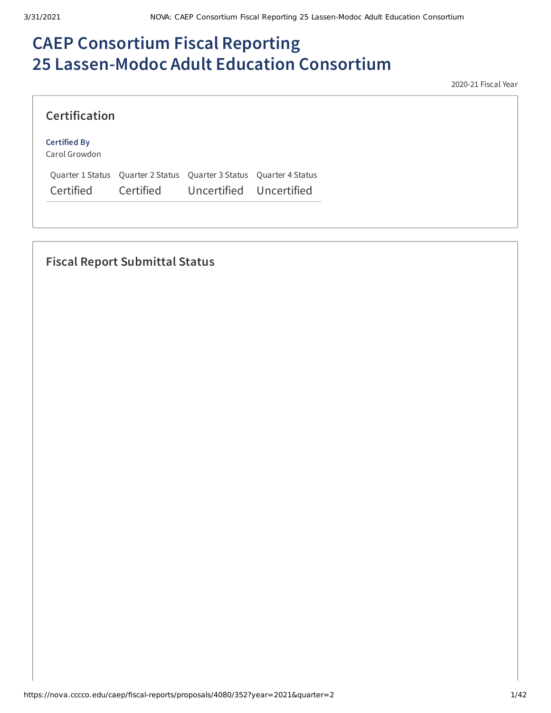# **CAEP Consortium Fiscal Reporting 25 Lassen-Modoc Adult Education Consortium**

2020-21 Fiscal Year

#### **Certified By**

Carol Growdon

Quarter 1 Status Quarter 2 Status Quarter 3 Status Quarter 4 Status Certified Certified Uncertified Uncertified

## **Fiscal Report Submittal Status**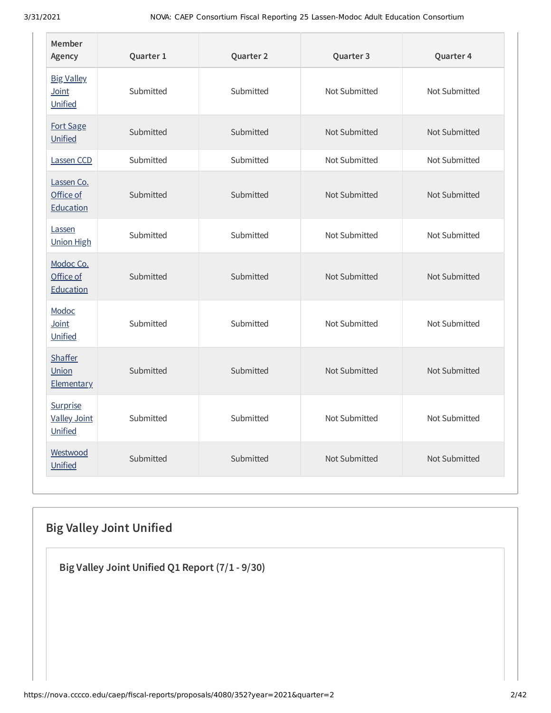| Member<br>Agency                           | Quarter 1 | Quarter 2 | Quarter 3     | Quarter 4     |
|--------------------------------------------|-----------|-----------|---------------|---------------|
| <b>Big Valley</b><br>Joint<br>Unified      | Submitted | Submitted | Not Submitted | Not Submitted |
| Fort Sage<br>Unified                       | Submitted | Submitted | Not Submitted | Not Submitted |
| Lassen CCD                                 | Submitted | Submitted | Not Submitted | Not Submitted |
| Lassen Co.<br>Office of<br>Education       | Submitted | Submitted | Not Submitted | Not Submitted |
| Lassen<br><b>Union High</b>                | Submitted | Submitted | Not Submitted | Not Submitted |
| Modoc Co.<br>Office of<br>Education        | Submitted | Submitted | Not Submitted | Not Submitted |
| Modoc<br>Joint<br>Unified                  | Submitted | Submitted | Not Submitted | Not Submitted |
| <b>Shaffer</b><br>Union<br>Elementary      | Submitted | Submitted | Not Submitted | Not Submitted |
| Surprise<br><b>Valley Joint</b><br>Unified | Submitted | Submitted | Not Submitted | Not Submitted |
| Westwood<br>Unified                        | Submitted | Submitted | Not Submitted | Not Submitted |

## **Big Valley Joint Unified**

**Big Valley Joint Unified Q1 Report (7/1 - 9/30)**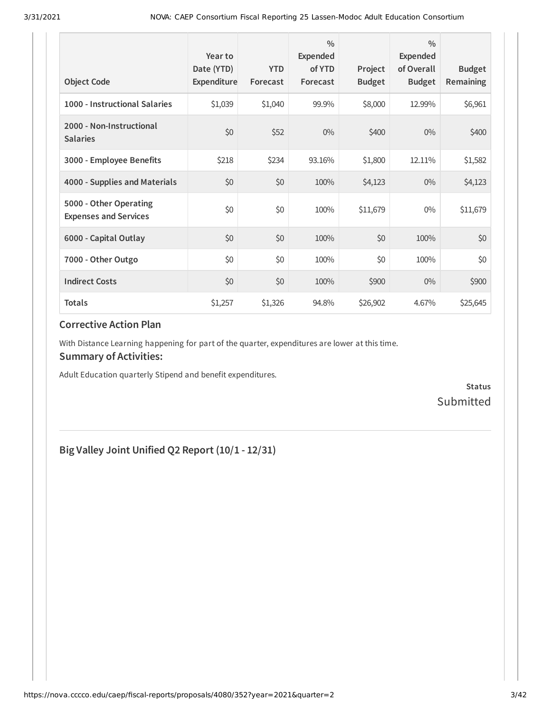| <b>Object Code</b>                                     | Year to<br>Date (YTD)<br>Expenditure | <b>YTD</b><br>Forecast | $\frac{0}{0}$<br>Expended<br>of YTD<br>Forecast | Project<br><b>Budget</b> | $\frac{0}{0}$<br>Expended<br>of Overall<br><b>Budget</b> | <b>Budget</b><br><b>Remaining</b> |
|--------------------------------------------------------|--------------------------------------|------------------------|-------------------------------------------------|--------------------------|----------------------------------------------------------|-----------------------------------|
| 1000 - Instructional Salaries                          | \$1,039                              | \$1,040                | 99.9%                                           | \$8,000                  | 12.99%                                                   | \$6,961                           |
| 2000 - Non-Instructional<br><b>Salaries</b>            | \$0                                  | \$52                   | $0\%$                                           | \$400                    | $0\%$                                                    | \$400                             |
| 3000 - Employee Benefits                               | \$218                                | \$234                  | 93.16%                                          | \$1,800                  | 12.11%                                                   | \$1,582                           |
| 4000 - Supplies and Materials                          | \$0                                  | \$0                    | 100%                                            | \$4,123                  | $0\%$                                                    | \$4,123                           |
| 5000 - Other Operating<br><b>Expenses and Services</b> | \$0                                  | \$0                    | 100%                                            | \$11,679                 | $0\%$                                                    | \$11,679                          |
| 6000 - Capital Outlay                                  | \$0                                  | \$0                    | 100%                                            | \$0                      | 100%                                                     | \$0                               |
| 7000 - Other Outgo                                     | \$0                                  | \$0                    | 100%                                            | \$0                      | 100%                                                     | \$0\$                             |
| <b>Indirect Costs</b>                                  | \$0                                  | \$0                    | 100%                                            | \$900                    | $0\%$                                                    | \$900                             |
| <b>Totals</b>                                          | \$1,257                              | \$1,326                | 94.8%                                           | \$26,902                 | 4.67%                                                    | \$25,645                          |

With Distance Learning happening for part of the quarter, expenditures are lower at this time.

#### **Summary of Activities:**

Adult Education quarterly Stipend and benefit expenditures.

**Status Submitted** 

### **Big Valley Joint Unified Q2 Report (10/1 - 12/31)**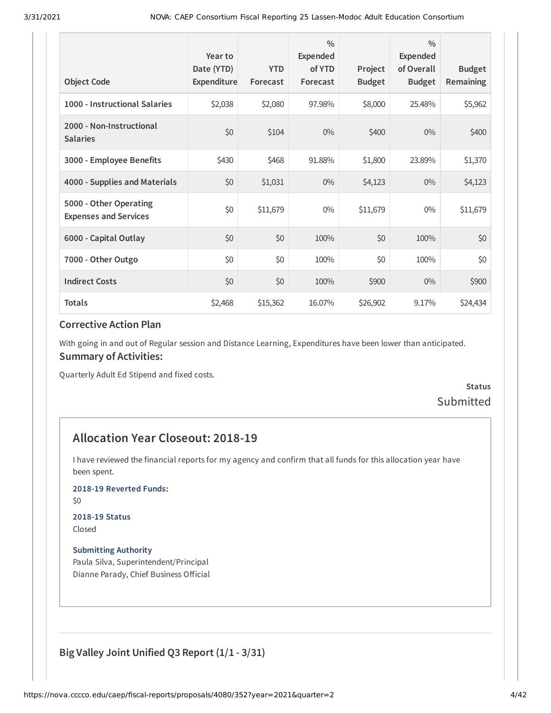| <b>Object Code</b>                                     | Year to<br>Date (YTD)<br>Expenditure | <b>YTD</b><br>Forecast | $\frac{0}{0}$<br>Expended<br>of YTD<br>Forecast | Project<br><b>Budget</b> | $\frac{0}{0}$<br><b>Expended</b><br>of Overall<br><b>Budget</b> | <b>Budget</b><br><b>Remaining</b> |
|--------------------------------------------------------|--------------------------------------|------------------------|-------------------------------------------------|--------------------------|-----------------------------------------------------------------|-----------------------------------|
| 1000 - Instructional Salaries                          | \$2,038                              | \$2,080                | 97.98%                                          | \$8,000                  | 25.48%                                                          | \$5,962                           |
| 2000 - Non-Instructional<br><b>Salaries</b>            | \$0                                  | \$104                  | $0\%$                                           | \$400                    | $0\%$                                                           | \$400                             |
| 3000 - Employee Benefits                               | \$430                                | \$468                  | 91.88%                                          | \$1,800                  | 23.89%                                                          | \$1,370                           |
| 4000 - Supplies and Materials                          | \$0                                  | \$1,031                | $0\%$                                           | \$4,123                  | $0\%$                                                           | \$4,123                           |
| 5000 - Other Operating<br><b>Expenses and Services</b> | \$0                                  | \$11,679               | $0\%$                                           | \$11,679                 | $0\%$                                                           | \$11,679                          |
| 6000 - Capital Outlay                                  | \$0                                  | \$0                    | 100%                                            | \$0                      | 100%                                                            | \$0                               |
| 7000 - Other Outgo                                     | \$0                                  | \$0                    | 100%                                            | \$0                      | 100%                                                            | \$0                               |
| <b>Indirect Costs</b>                                  | \$0                                  | \$0                    | 100%                                            | \$900                    | $0\%$                                                           | \$900                             |
| <b>Totals</b>                                          | \$2,468                              | \$15,362               | 16.07%                                          | \$26,902                 | 9.17%                                                           | \$24,434                          |

With going in and out of Regular session and Distance Learning, Expenditures have been lower than anticipated. **Summary of Activities:**

Quarterly Adult Ed Stipend and fixed costs.

### **Status** Submitted

### **Allocation Year Closeout: 2018-19**

I have reviewed the financial reports for my agency and confirm that all funds for this allocation year have been spent.

#### **2018-19 Reverted Funds:**

\$0

#### **2018-19 Status**

Closed

#### **Submitting Authority**

Paula Silva, Superintendent/Principal Dianne Parady, Chief Business Official

#### **Big Valley Joint Unified Q3 Report (1/1 - 3/31)**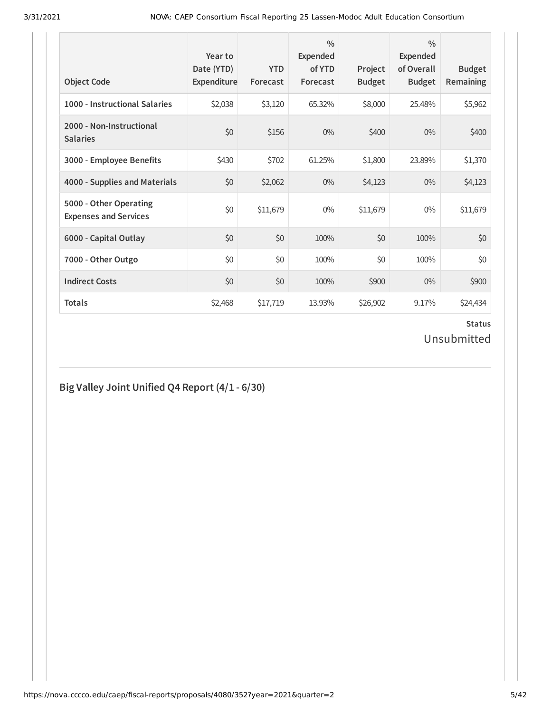| <b>Object Code</b>                                     | Year to<br>Date (YTD)<br>Expenditure | <b>YTD</b><br>Forecast | $\frac{0}{0}$<br>Expended<br>of YTD<br>Forecast | Project<br><b>Budget</b> | $\frac{0}{0}$<br><b>Expended</b><br>of Overall<br><b>Budget</b> | <b>Budget</b><br><b>Remaining</b> |
|--------------------------------------------------------|--------------------------------------|------------------------|-------------------------------------------------|--------------------------|-----------------------------------------------------------------|-----------------------------------|
| 1000 - Instructional Salaries                          | \$2,038                              | \$3,120                | 65.32%                                          | \$8,000                  | 25.48%                                                          | \$5,962                           |
| 2000 - Non-Instructional<br><b>Salaries</b>            | \$0                                  | \$156                  | $0\%$                                           | \$400                    | 0%                                                              | \$400                             |
| 3000 - Employee Benefits                               | \$430                                | \$702                  | 61.25%                                          | \$1,800                  | 23.89%                                                          | \$1,370                           |
| 4000 - Supplies and Materials                          | \$0                                  | \$2,062                | $0\%$                                           | \$4,123                  | $0\%$                                                           | \$4,123                           |
| 5000 - Other Operating<br><b>Expenses and Services</b> | \$0                                  | \$11,679               | $0\%$                                           | \$11,679                 | $0\%$                                                           | \$11,679                          |
| 6000 - Capital Outlay                                  | \$0                                  | \$0                    | 100%                                            | \$0                      | 100%                                                            | \$0                               |
| 7000 - Other Outgo                                     | \$0                                  | \$0                    | 100%                                            | \$0                      | 100%                                                            | \$0                               |
| <b>Indirect Costs</b>                                  | \$0                                  | \$0                    | 100%                                            | \$900                    | $0\%$                                                           | \$900                             |
| <b>Totals</b>                                          | \$2,468                              | \$17,719               | 13.93%                                          | \$26,902                 | 9.17%                                                           | \$24,434                          |

### **Status** Unsubmitted

## **Big Valley Joint Unified Q4 Report (4/1 - 6/30)**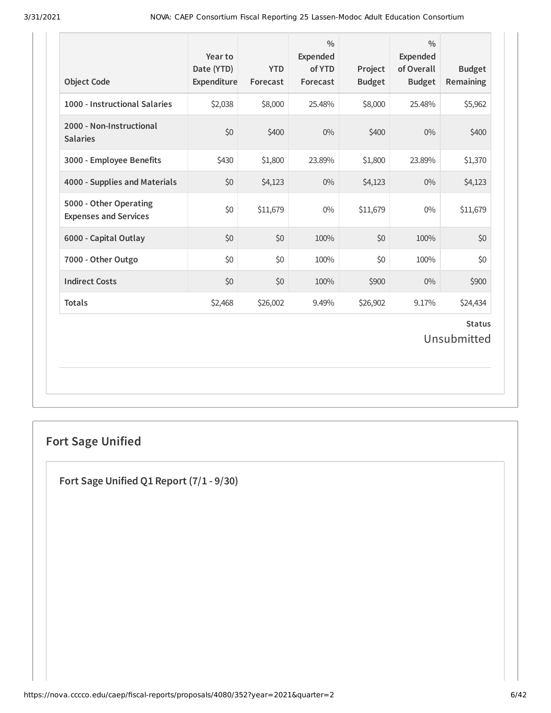| <b>Object Code</b>                                     | Year to<br>Date (YTD)<br>Expenditure | <b>YTD</b><br>Forecast | $\frac{0}{0}$<br>Expended<br>of YTD<br>Forecast | Project<br><b>Budget</b> | $\frac{0}{0}$<br>Expended<br>of Overall<br><b>Budget</b> | <b>Budget</b><br>Remaining   |
|--------------------------------------------------------|--------------------------------------|------------------------|-------------------------------------------------|--------------------------|----------------------------------------------------------|------------------------------|
| 1000 - Instructional Salaries                          | \$2,038                              | \$8,000                | 25.48%                                          | \$8,000                  | 25.48%                                                   | \$5,962                      |
| 2000 - Non-Instructional<br><b>Salaries</b>            | \$0                                  | \$400                  | $0\%$                                           | \$400                    | $0\%$                                                    | \$400                        |
| 3000 - Employee Benefits                               | \$430                                | \$1,800                | 23.89%                                          | \$1,800                  | 23.89%                                                   | \$1,370                      |
| 4000 - Supplies and Materials                          | \$0                                  | \$4,123                | $0\%$                                           | \$4,123                  | $0\%$                                                    | \$4,123                      |
| 5000 - Other Operating<br><b>Expenses and Services</b> | \$0                                  | \$11,679               | $0\%$                                           | \$11,679                 | $0\%$                                                    | \$11,679                     |
| 6000 - Capital Outlay                                  | \$0                                  | \$0                    | 100%                                            | \$0                      | 100%                                                     | \$0                          |
| 7000 - Other Outgo                                     | \$0                                  | \$0                    | 100%                                            | \$0                      | 100%                                                     | \$0                          |
| <b>Indirect Costs</b>                                  | \$0                                  | \$0                    | 100%                                            | \$900                    | 0%                                                       | \$900                        |
| <b>Totals</b>                                          | \$2,468                              | \$26,002               | 9.49%                                           | \$26,902                 | 9.17%                                                    | \$24,434                     |
|                                                        |                                      |                        |                                                 |                          |                                                          | <b>Status</b><br>Unsubmitted |

## **Fort Sage Unified**

**Fort Sage Unified Q1 Report (7/1 - 9/30)**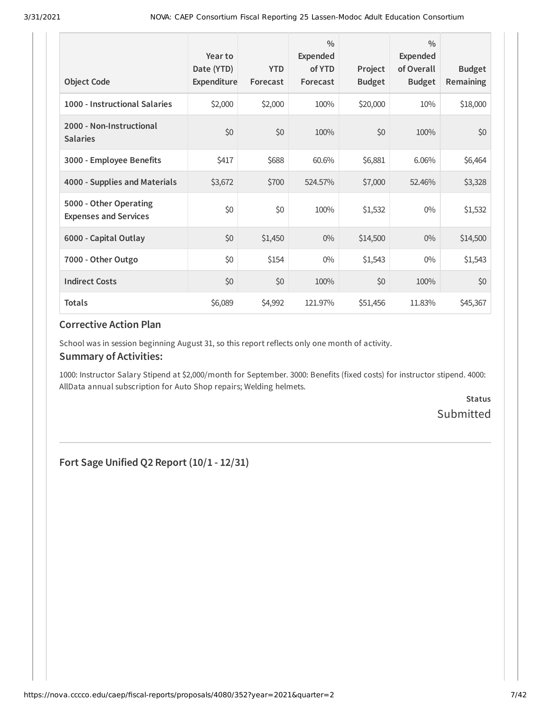| <b>Object Code</b>                                     | Year to<br>Date (YTD)<br>Expenditure | <b>YTD</b><br>Forecast | $\frac{0}{0}$<br><b>Expended</b><br>of YTD<br>Forecast | Project<br><b>Budget</b> | $\frac{0}{0}$<br>Expended<br>of Overall<br><b>Budget</b> | <b>Budget</b><br>Remaining |
|--------------------------------------------------------|--------------------------------------|------------------------|--------------------------------------------------------|--------------------------|----------------------------------------------------------|----------------------------|
| 1000 - Instructional Salaries                          | \$2,000                              | \$2,000                | 100%                                                   | \$20,000                 | 10%                                                      | \$18,000                   |
| 2000 - Non-Instructional<br><b>Salaries</b>            | \$0                                  | \$0                    | 100%                                                   | \$0                      | 100%                                                     | \$0                        |
| 3000 - Employee Benefits                               | \$417                                | \$688                  | 60.6%                                                  | \$6,881                  | 6.06%                                                    | \$6,464                    |
| 4000 - Supplies and Materials                          | \$3,672                              | \$700                  | 524.57%                                                | \$7,000                  | 52.46%                                                   | \$3,328                    |
| 5000 - Other Operating<br><b>Expenses and Services</b> | \$0                                  | \$0                    | 100%                                                   | \$1,532                  | $0\%$                                                    | \$1,532                    |
| 6000 - Capital Outlay                                  | \$0                                  | \$1,450                | $0\%$                                                  | \$14,500                 | $0\%$                                                    | \$14,500                   |
| 7000 - Other Outgo                                     | \$0                                  | \$154                  | $0\%$                                                  | \$1,543                  | $0\%$                                                    | \$1,543                    |
| <b>Indirect Costs</b>                                  | \$0                                  | \$0                    | 100%                                                   | \$0                      | 100%                                                     | \$0                        |
| <b>Totals</b>                                          | \$6,089                              | \$4,992                | 121.97%                                                | \$51,456                 | 11.83%                                                   | \$45,367                   |

School was in session beginning August 31, so this report reflects only one month of activity.

#### **Summary of Activities:**

1000: Instructor Salary Stipend at \$2,000/month for September. 3000: Benefits (fixed costs) for instructor stipend. 4000: AllData annual subscription for Auto Shop repairs; Welding helmets.

> **Status** Submitted

**Fort Sage Unified Q2 Report (10/1 - 12/31)**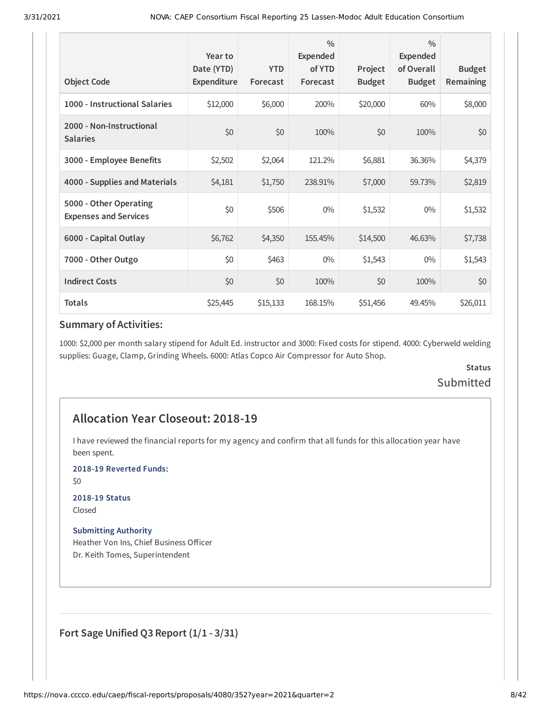| <b>Object Code</b>                                     | Year to<br>Date (YTD)<br>Expenditure | <b>YTD</b><br>Forecast | $\frac{0}{0}$<br>Expended<br>of YTD<br>Forecast | Project<br><b>Budget</b> | $\frac{0}{0}$<br><b>Expended</b><br>of Overall<br><b>Budget</b> | <b>Budget</b><br><b>Remaining</b> |
|--------------------------------------------------------|--------------------------------------|------------------------|-------------------------------------------------|--------------------------|-----------------------------------------------------------------|-----------------------------------|
| 1000 - Instructional Salaries                          | \$12,000                             | \$6,000                | 200%                                            | \$20,000                 | 60%                                                             | \$8,000                           |
| 2000 - Non-Instructional<br><b>Salaries</b>            | \$0                                  | \$0                    | 100%                                            | \$0                      | 100%                                                            | \$0                               |
| 3000 - Employee Benefits                               | \$2,502                              | \$2,064                | 121.2%                                          | \$6,881                  | 36.36%                                                          | \$4,379                           |
| 4000 - Supplies and Materials                          | \$4,181                              | \$1,750                | 238.91%                                         | \$7,000                  | 59.73%                                                          | \$2,819                           |
| 5000 - Other Operating<br><b>Expenses and Services</b> | \$0                                  | \$506                  | $0\%$                                           | \$1,532                  | $0\%$                                                           | \$1,532                           |
| 6000 - Capital Outlay                                  | \$6,762                              | \$4,350                | 155.45%                                         | \$14,500                 | 46.63%                                                          | \$7,738                           |
| 7000 - Other Outgo                                     | \$0                                  | \$463                  | $0\%$                                           | \$1,543                  | $0\%$                                                           | \$1,543                           |
| <b>Indirect Costs</b>                                  | \$0                                  | \$0                    | 100%                                            | \$0                      | 100%                                                            | \$0                               |
| <b>Totals</b>                                          | \$25,445                             | \$15,133               | 168.15%                                         | \$51,456                 | 49.45%                                                          | \$26,011                          |

#### **Summary of Activities:**

1000: \$2,000 per month salary stipend for Adult Ed. instructor and 3000: Fixed costs for stipend. 4000: Cyberweld welding supplies: Guage, Clamp, Grinding Wheels. 6000: Atlas Copco Air Compressor for Auto Shop.

### **Status** Submitted

### **Allocation Year Closeout: 2018-19**

I have reviewed the financial reports for my agency and confirm that all funds for this allocation year have been spent.

**2018-19 Reverted Funds:**

\$0

**2018-19 Status**

Closed

**Submitting Authority**

Heather Von Ins, Chief Business Officer Dr. Keith Tomes, Superintendent

**Fort Sage Unified Q3 Report (1/1 - 3/31)**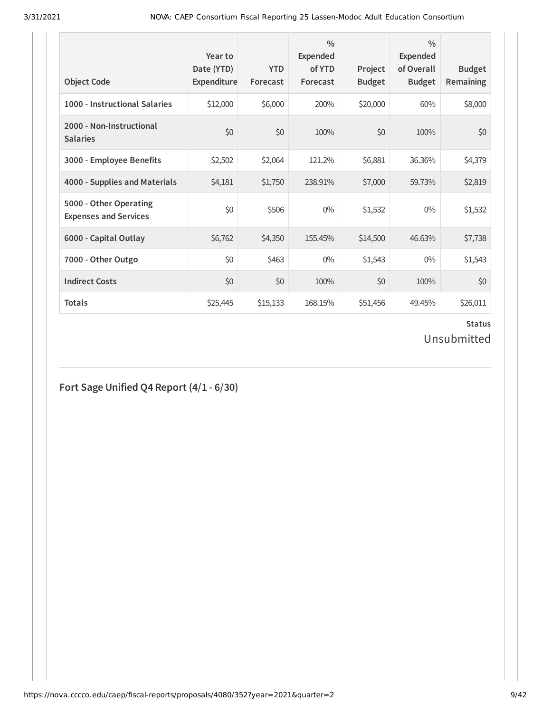| <b>Object Code</b>                                     | Year to<br>Date (YTD)<br>Expenditure | <b>YTD</b><br>Forecast | $\frac{0}{0}$<br>Expended<br>of YTD<br>Forecast | Project<br><b>Budget</b> | $\frac{0}{0}$<br><b>Expended</b><br>of Overall<br><b>Budget</b> | <b>Budget</b><br><b>Remaining</b> |
|--------------------------------------------------------|--------------------------------------|------------------------|-------------------------------------------------|--------------------------|-----------------------------------------------------------------|-----------------------------------|
| 1000 - Instructional Salaries                          | \$12,000                             | \$6,000                | 200%                                            | \$20,000                 | 60%                                                             | \$8,000                           |
| 2000 - Non-Instructional<br><b>Salaries</b>            | \$0                                  | \$0                    | 100%                                            | \$0                      | 100%                                                            | \$0                               |
| 3000 - Employee Benefits                               | \$2,502                              | \$2,064                | 121.2%                                          | \$6,881                  | 36.36%                                                          | \$4,379                           |
| 4000 - Supplies and Materials                          | \$4,181                              | \$1,750                | 238.91%                                         | \$7,000                  | 59.73%                                                          | \$2,819                           |
| 5000 - Other Operating<br><b>Expenses and Services</b> | \$0                                  | \$506                  | $0\%$                                           | \$1,532                  | $0\%$                                                           | \$1,532                           |
| 6000 - Capital Outlay                                  | \$6,762                              | \$4,350                | 155.45%                                         | \$14,500                 | 46.63%                                                          | \$7,738                           |
| 7000 - Other Outgo                                     | \$0                                  | \$463                  | $0\%$                                           | \$1,543                  | $0\%$                                                           | \$1,543                           |
| <b>Indirect Costs</b>                                  | \$0                                  | \$0                    | 100%                                            | \$0                      | 100%                                                            | \$0                               |
| <b>Totals</b>                                          | \$25,445                             | \$15,133               | 168.15%                                         | \$51,456                 | 49.45%                                                          | \$26,011                          |

## **Status**

Unsubmitted

**Fort Sage Unified Q4 Report (4/1 - 6/30)**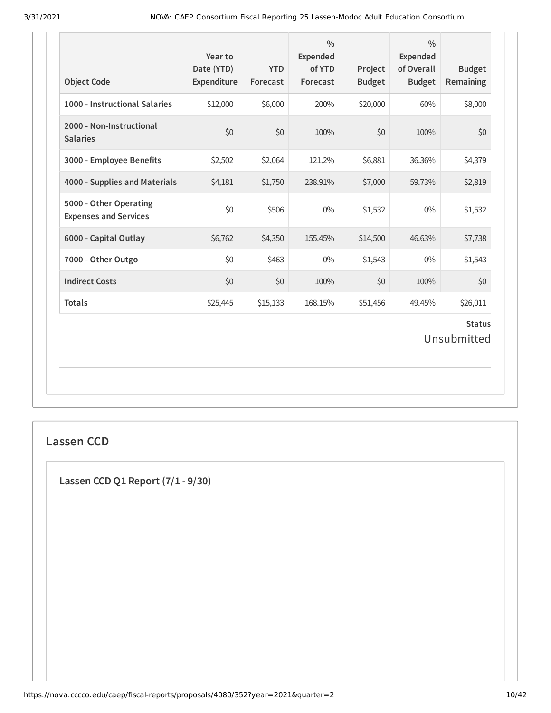| <b>Object Code</b>                                     | Year to<br>Date (YTD)<br>Expenditure | <b>YTD</b><br>Forecast | $\frac{0}{0}$<br><b>Expended</b><br>of YTD<br>Forecast | Project<br><b>Budget</b> | $\frac{0}{0}$<br><b>Expended</b><br>of Overall<br><b>Budget</b> | <b>Budget</b><br>Remaining   |
|--------------------------------------------------------|--------------------------------------|------------------------|--------------------------------------------------------|--------------------------|-----------------------------------------------------------------|------------------------------|
| 1000 - Instructional Salaries                          | \$12,000                             | \$6,000                | 200%                                                   | \$20,000                 | 60%                                                             | \$8,000                      |
| 2000 - Non-Instructional<br><b>Salaries</b>            | \$0                                  | \$0                    | 100%                                                   | \$0                      | 100%                                                            | \$0                          |
| 3000 - Employee Benefits                               | \$2,502                              | \$2,064                | 121.2%                                                 | \$6,881                  | 36.36%                                                          | \$4,379                      |
| 4000 - Supplies and Materials                          | \$4,181                              | \$1,750                | 238.91%                                                | \$7,000                  | 59.73%                                                          | \$2,819                      |
| 5000 - Other Operating<br><b>Expenses and Services</b> | \$0                                  | \$506                  | $0\%$                                                  | \$1,532                  | $0\%$                                                           | \$1,532                      |
| 6000 - Capital Outlay                                  | \$6,762                              | \$4,350                | 155.45%                                                | \$14,500                 | 46.63%                                                          | \$7,738                      |
| 7000 - Other Outgo                                     | \$0                                  | \$463                  | $0\%$                                                  | \$1,543                  | $0\%$                                                           | \$1,543                      |
| <b>Indirect Costs</b>                                  | \$0                                  | \$0                    | 100%                                                   | \$0                      | 100%                                                            | \$0                          |
| <b>Totals</b>                                          | \$25,445                             | \$15,133               | 168.15%                                                | \$51,456                 | 49.45%                                                          | \$26,011                     |
|                                                        |                                      |                        |                                                        |                          |                                                                 | <b>Status</b><br>Unsubmitted |

#### **Lassen CCD**

**Lassen CCD Q1 Report (7/1 - 9/30)**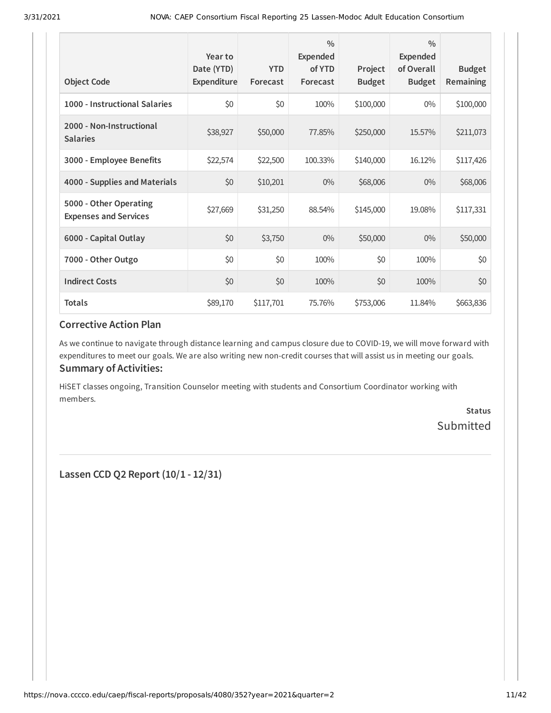| <b>Object Code</b>                                     | Year to<br>Date (YTD)<br>Expenditure | <b>YTD</b><br>Forecast | $\frac{0}{0}$<br><b>Expended</b><br>of YTD<br>Forecast | Project<br><b>Budget</b> | $\frac{0}{0}$<br>Expended<br>of Overall<br><b>Budget</b> | <b>Budget</b><br>Remaining |
|--------------------------------------------------------|--------------------------------------|------------------------|--------------------------------------------------------|--------------------------|----------------------------------------------------------|----------------------------|
| 1000 - Instructional Salaries                          | \$0                                  | \$0                    | 100%                                                   | \$100,000                | $0\%$                                                    | \$100,000                  |
| 2000 - Non-Instructional<br><b>Salaries</b>            | \$38,927                             | \$50,000               | 77.85%                                                 | \$250,000                | 15.57%                                                   | \$211,073                  |
| 3000 - Employee Benefits                               | \$22,574                             | \$22,500               | 100.33%                                                | \$140,000                | 16.12%                                                   | \$117,426                  |
| 4000 - Supplies and Materials                          | \$0                                  | \$10,201               | $0\%$                                                  | \$68,006                 | $0\%$                                                    | \$68,006                   |
| 5000 - Other Operating<br><b>Expenses and Services</b> | \$27,669                             | \$31,250               | 88.54%                                                 | \$145,000                | 19.08%                                                   | \$117,331                  |
| 6000 - Capital Outlay                                  | \$0                                  | \$3,750                | $0\%$                                                  | \$50,000                 | $0\%$                                                    | \$50,000                   |
| 7000 - Other Outgo                                     | \$0                                  | \$0                    | 100%                                                   | \$0                      | 100%                                                     | \$0                        |
| <b>Indirect Costs</b>                                  | \$0                                  | \$0                    | 100%                                                   | \$0                      | 100%                                                     | \$0                        |
| <b>Totals</b>                                          | \$89,170                             | \$117,701              | 75.76%                                                 | \$753,006                | 11.84%                                                   | \$663,836                  |

As we continue to navigate through distance learning and campus closure due to COVID-19, we will move forward with expenditures to meet our goals. We are also writing new non-credit courses that will assist us in meeting our goals. **Summary of Activities:**

HiSET classes ongoing, Transition Counselor meeting with students and Consortium Coordinator working with members.

> **Status** Submitted

**Lassen CCD Q2 Report (10/1 - 12/31)**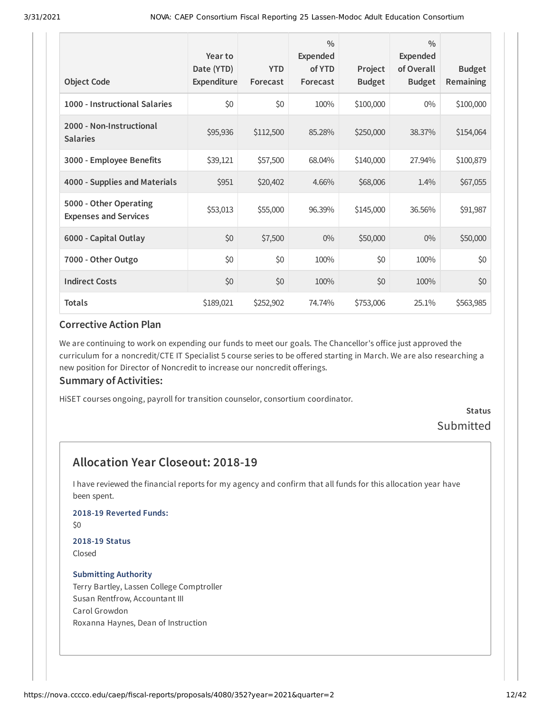| <b>Object Code</b>                                     | Year to<br>Date (YTD)<br>Expenditure | <b>YTD</b><br>Forecast | $\frac{0}{0}$<br><b>Expended</b><br>of YTD<br>Forecast | Project<br><b>Budget</b> | $\frac{0}{0}$<br>Expended<br>of Overall<br><b>Budget</b> | <b>Budget</b><br>Remaining |
|--------------------------------------------------------|--------------------------------------|------------------------|--------------------------------------------------------|--------------------------|----------------------------------------------------------|----------------------------|
| 1000 - Instructional Salaries                          | \$0                                  | \$0                    | 100%                                                   | \$100,000                | $0\%$                                                    | \$100,000                  |
| 2000 - Non-Instructional<br><b>Salaries</b>            | \$95,936                             | \$112,500              | 85.28%                                                 | \$250,000                | 38.37%                                                   | \$154,064                  |
| 3000 - Employee Benefits                               | \$39,121                             | \$57,500               | 68.04%                                                 | \$140,000                | 27.94%                                                   | \$100,879                  |
| 4000 - Supplies and Materials                          | \$951                                | \$20,402               | 4.66%                                                  | \$68,006                 | 1.4%                                                     | \$67,055                   |
| 5000 - Other Operating<br><b>Expenses and Services</b> | \$53,013                             | \$55,000               | 96.39%                                                 | \$145,000                | 36.56%                                                   | \$91,987                   |
| 6000 - Capital Outlay                                  | \$0                                  | \$7,500                | $0\%$                                                  | \$50,000                 | $0\%$                                                    | \$50,000                   |
| 7000 - Other Outgo                                     | \$0                                  | \$0                    | 100%                                                   | \$0                      | 100%                                                     | \$0                        |
| <b>Indirect Costs</b>                                  | \$0                                  | \$0                    | 100%                                                   | \$0                      | 100%                                                     | \$0                        |
| <b>Totals</b>                                          | \$189,021                            | \$252,902              | 74.74%                                                 | \$753,006                | 25.1%                                                    | \$563,985                  |

We are continuing to work on expending our funds to meet our goals. The Chancellor's office just approved the curriculum for a noncredit/CTE IT Specialist 5 course series to be offered starting in March. We are also researching a new position for Director of Noncredit to increase our noncredit offerings.

#### **Summary of Activities:**

HiSET courses ongoing, payroll for transition counselor, consortium coordinator.

#### **Status** Submitted

### **Allocation Year Closeout: 2018-19**

I have reviewed the financial reports for my agency and confirm that all funds for this allocation year have been spent.

#### **2018-19 Reverted Funds:**

\$0

#### **2018-19 Status** Closed

#### **Submitting Authority**

Terry Bartley, Lassen College Comptroller Susan Rentfrow, Accountant III Carol Growdon Roxanna Haynes, Dean of Instruction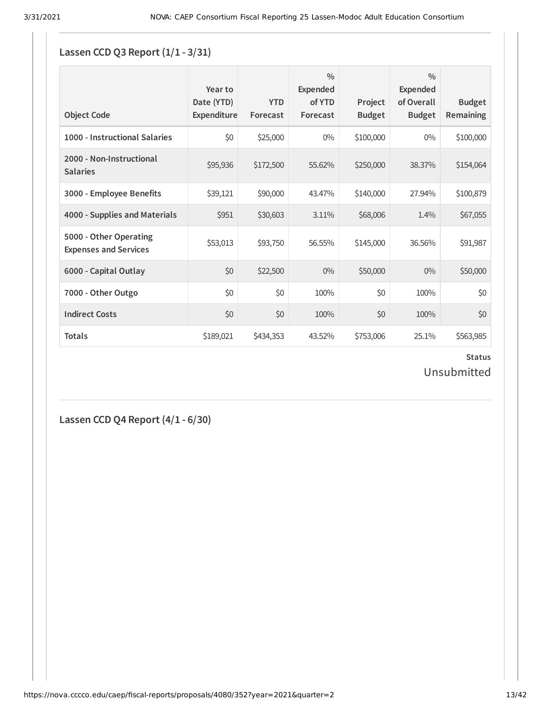## **Lassen CCD Q3 Report (1/1 - 3/31)**

| <b>Object Code</b>                                     | Year to<br>Date (YTD)<br>Expenditure | <b>YTD</b><br>Forecast | $\frac{0}{0}$<br><b>Expended</b><br>of YTD<br>Forecast | Project<br><b>Budget</b> | $\frac{0}{0}$<br>Expended<br>of Overall<br><b>Budget</b> | <b>Budget</b><br>Remaining |
|--------------------------------------------------------|--------------------------------------|------------------------|--------------------------------------------------------|--------------------------|----------------------------------------------------------|----------------------------|
| 1000 - Instructional Salaries                          | \$0                                  | \$25,000               | $0\%$                                                  | \$100,000                | $0\%$                                                    | \$100,000                  |
| 2000 - Non-Instructional<br><b>Salaries</b>            | \$95,936                             | \$172,500              | 55.62%                                                 | \$250,000                | 38.37%                                                   | \$154,064                  |
| 3000 - Employee Benefits                               | \$39,121                             | \$90,000               | 43.47%                                                 | \$140,000                | 27.94%                                                   | \$100,879                  |
| 4000 - Supplies and Materials                          | \$951                                | \$30,603               | 3.11%                                                  | \$68,006                 | 1.4%                                                     | \$67,055                   |
| 5000 - Other Operating<br><b>Expenses and Services</b> | \$53,013                             | \$93,750               | 56.55%                                                 | \$145,000                | 36.56%                                                   | \$91,987                   |
| 6000 - Capital Outlay                                  | \$0                                  | \$22,500               | $0\%$                                                  | \$50,000                 | $0\%$                                                    | \$50,000                   |
| 7000 - Other Outgo                                     | \$0                                  | \$0                    | 100%                                                   | \$0                      | 100%                                                     | \$0                        |
| <b>Indirect Costs</b>                                  | \$0                                  | \$0                    | 100%                                                   | \$0                      | 100%                                                     | \$0                        |
| <b>Totals</b>                                          | \$189,021                            | \$434,353              | 43.52%                                                 | \$753,006                | 25.1%                                                    | \$563,985                  |

### **Status** Unsubmitted

**Lassen CCD Q4 Report (4/1 - 6/30)**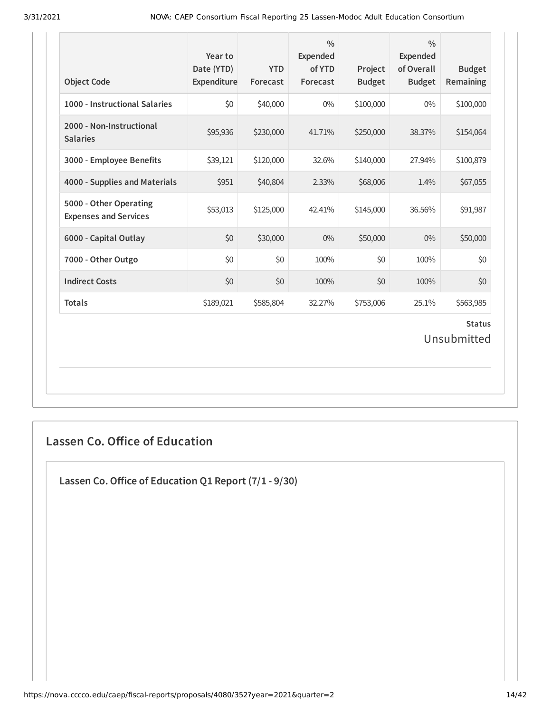| <b>Object Code</b>                                     | Year to<br>Date (YTD)<br>Expenditure | <b>YTD</b><br>Forecast | $\frac{0}{0}$<br><b>Expended</b><br>of YTD<br>Forecast | Project<br><b>Budget</b> | $\frac{0}{0}$<br>Expended<br>of Overall<br><b>Budget</b> | <b>Budget</b><br>Remaining   |
|--------------------------------------------------------|--------------------------------------|------------------------|--------------------------------------------------------|--------------------------|----------------------------------------------------------|------------------------------|
| 1000 - Instructional Salaries                          | \$0                                  | \$40,000               | $0\%$                                                  | \$100,000                | $0\%$                                                    | \$100,000                    |
| 2000 - Non-Instructional<br><b>Salaries</b>            | \$95,936                             | \$230,000              | 41.71%                                                 | \$250,000                | 38.37%                                                   | \$154,064                    |
| 3000 - Employee Benefits                               | \$39,121                             | \$120,000              | 32.6%                                                  | \$140,000                | 27.94%                                                   | \$100,879                    |
| 4000 - Supplies and Materials                          | \$951                                | \$40,804               | 2.33%                                                  | \$68,006                 | 1.4%                                                     | \$67,055                     |
| 5000 - Other Operating<br><b>Expenses and Services</b> | \$53,013                             | \$125,000              | 42.41%                                                 | \$145,000                | 36.56%                                                   | \$91,987                     |
| 6000 - Capital Outlay                                  | \$0                                  | \$30,000               | $0\%$                                                  | \$50,000                 | $0\%$                                                    | \$50,000                     |
| 7000 - Other Outgo                                     | \$0                                  | \$0                    | 100%                                                   | \$0                      | 100%                                                     | \$0                          |
| <b>Indirect Costs</b>                                  | \$0                                  | \$0                    | 100%                                                   | \$0                      | 100%                                                     | \$0                          |
| <b>Totals</b>                                          | \$189,021                            | \$585,804              | 32.27%                                                 | \$753,006                | 25.1%                                                    | \$563,985                    |
|                                                        |                                      |                        |                                                        |                          |                                                          | <b>Status</b><br>Unsubmitted |

### **Lassen Co. Office of Education**

**Lassen Co.Oice of Education Q1 Report (7/1 - 9/30)**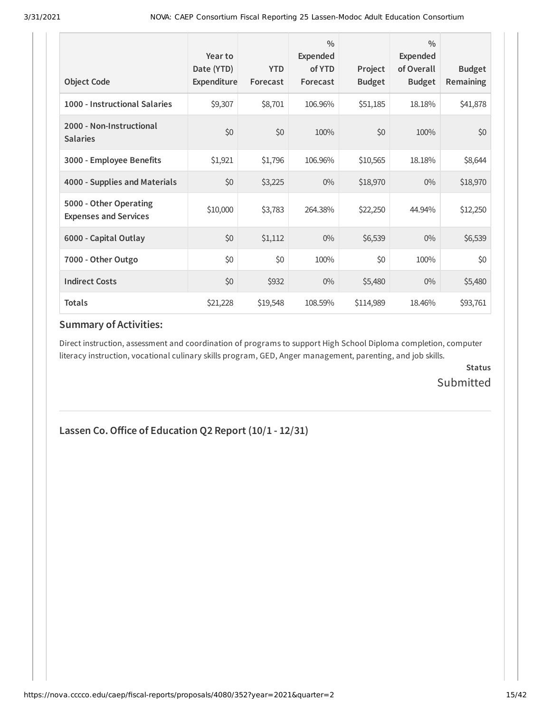| <b>Object Code</b>                                     | Year to<br>Date (YTD)<br>Expenditure | <b>YTD</b><br>Forecast | $\frac{0}{0}$<br><b>Expended</b><br>of YTD<br>Forecast | Project<br><b>Budget</b> | $\frac{0}{0}$<br>Expended<br>of Overall<br><b>Budget</b> | <b>Budget</b><br><b>Remaining</b> |
|--------------------------------------------------------|--------------------------------------|------------------------|--------------------------------------------------------|--------------------------|----------------------------------------------------------|-----------------------------------|
| 1000 - Instructional Salaries                          | \$9,307                              | \$8,701                | 106.96%                                                | \$51,185                 | 18.18%                                                   | \$41,878                          |
| 2000 - Non-Instructional<br><b>Salaries</b>            | \$0                                  | \$0                    | 100%                                                   | \$0                      | 100%                                                     | \$0                               |
| 3000 - Employee Benefits                               | \$1,921                              | \$1,796                | 106.96%                                                | \$10,565                 | 18.18%                                                   | \$8,644                           |
| 4000 - Supplies and Materials                          | \$0                                  | \$3,225                | $0\%$                                                  | \$18,970                 | $0\%$                                                    | \$18,970                          |
| 5000 - Other Operating<br><b>Expenses and Services</b> | \$10,000                             | \$3,783                | 264.38%                                                | \$22,250                 | 44.94%                                                   | \$12,250                          |
| 6000 - Capital Outlay                                  | \$0                                  | \$1,112                | $0\%$                                                  | \$6,539                  | $0\%$                                                    | \$6,539                           |
| 7000 - Other Outgo                                     | \$0                                  | \$0                    | 100%                                                   | \$0                      | 100%                                                     | \$0                               |
| <b>Indirect Costs</b>                                  | \$0                                  | \$932                  | 0%                                                     | \$5,480                  | $0\%$                                                    | \$5,480                           |
| <b>Totals</b>                                          | \$21,228                             | \$19,548               | 108.59%                                                | \$114,989                | 18.46%                                                   | \$93,761                          |

#### **Summary of Activities:**

Direct instruction, assessment and coordination of programs to support High School Diploma completion, computer literacy instruction, vocational culinary skills program, GED, Anger management, parenting, and job skills.

> **Status** Submitted

### **Lassen Co.Oice of Education Q2 Report (10/1 - 12/31)**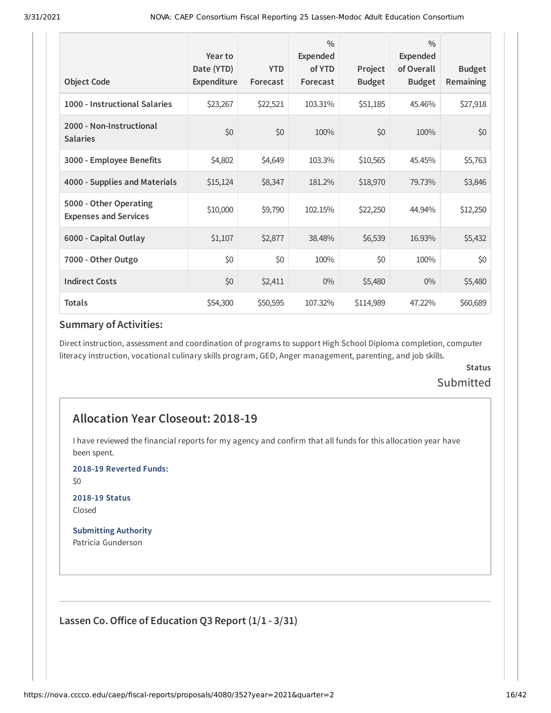| <b>Object Code</b>                                     | Year to<br>Date (YTD)<br>Expenditure | <b>YTD</b><br>Forecast | $\frac{0}{0}$<br>Expended<br>of YTD<br>Forecast | Project<br><b>Budget</b> | $\frac{0}{0}$<br><b>Expended</b><br>of Overall<br><b>Budget</b> | <b>Budget</b><br>Remaining |
|--------------------------------------------------------|--------------------------------------|------------------------|-------------------------------------------------|--------------------------|-----------------------------------------------------------------|----------------------------|
| 1000 - Instructional Salaries                          | \$23,267                             | \$22,521               | 103.31%                                         | \$51,185                 | 45.46%                                                          | \$27,918                   |
| 2000 - Non-Instructional<br><b>Salaries</b>            | \$0                                  | \$0                    | 100%                                            | \$0                      | 100%                                                            | \$0                        |
| 3000 - Employee Benefits                               | \$4,802                              | \$4,649                | 103.3%                                          | \$10,565                 | 45.45%                                                          | \$5,763                    |
| 4000 - Supplies and Materials                          | \$15,124                             | \$8,347                | 181.2%                                          | \$18,970                 | 79.73%                                                          | \$3,846                    |
| 5000 - Other Operating<br><b>Expenses and Services</b> | \$10,000                             | \$9,790                | 102.15%                                         | \$22,250                 | 44.94%                                                          | \$12,250                   |
| 6000 - Capital Outlay                                  | \$1,107                              | \$2,877                | 38.48%                                          | \$6,539                  | 16.93%                                                          | \$5,432                    |
| 7000 - Other Outgo                                     | \$0                                  | \$0                    | 100%                                            | \$0                      | 100%                                                            | \$0                        |
| <b>Indirect Costs</b>                                  | \$0                                  | \$2,411                | $0\%$                                           | \$5,480                  | $0\%$                                                           | \$5,480                    |
| <b>Totals</b>                                          | \$54,300                             | \$50,595               | 107.32%                                         | \$114,989                | 47.22%                                                          | \$60,689                   |

#### **Summary of Activities:**

Direct instruction, assessment and coordination of programs to support High School Diploma completion, computer literacy instruction, vocational culinary skills program, GED, Anger management, parenting, and job skills.

#### **Status** Submitted

### **Allocation Year Closeout: 2018-19**

I have reviewed the financial reports for my agency and confirm that all funds for this allocation year have been spent.

**2018-19 Reverted Funds:**

\$0

**2018-19 Status** Closed

**Submitting Authority** Patricia Gunderson

**Lassen Co.Oice of Education Q3 Report (1/1 - 3/31)**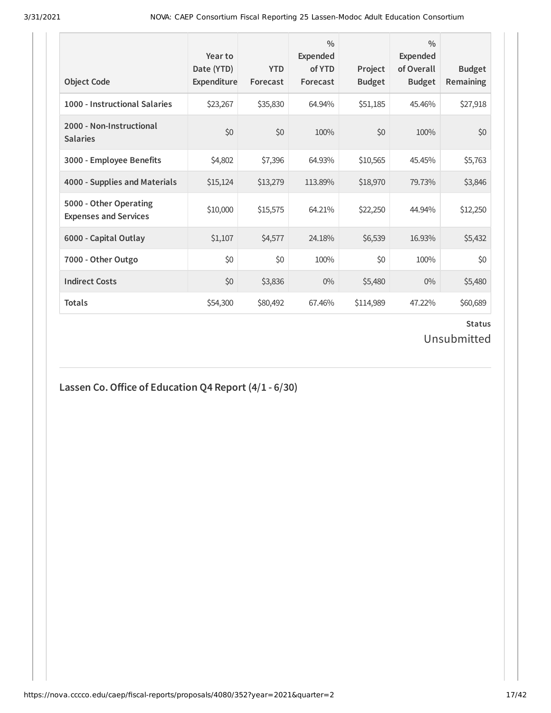| <b>Object Code</b>                                     | Year to<br>Date (YTD)<br>Expenditure | <b>YTD</b><br>Forecast | $\frac{0}{0}$<br><b>Expended</b><br>of YTD<br>Forecast | Project<br><b>Budget</b> | $\frac{0}{0}$<br><b>Expended</b><br>of Overall<br><b>Budget</b> | <b>Budget</b><br><b>Remaining</b> |
|--------------------------------------------------------|--------------------------------------|------------------------|--------------------------------------------------------|--------------------------|-----------------------------------------------------------------|-----------------------------------|
| 1000 - Instructional Salaries                          | \$23,267                             | \$35,830               | 64.94%                                                 | \$51,185                 | 45.46%                                                          | \$27,918                          |
| 2000 - Non-Instructional<br><b>Salaries</b>            | \$0                                  | \$0                    | 100%                                                   | \$0                      | 100%                                                            | \$0                               |
| 3000 - Employee Benefits                               | \$4,802                              | \$7,396                | 64.93%                                                 | \$10,565                 | 45.45%                                                          | \$5,763                           |
| 4000 - Supplies and Materials                          | \$15,124                             | \$13,279               | 113.89%                                                | \$18,970                 | 79.73%                                                          | \$3,846                           |
| 5000 - Other Operating<br><b>Expenses and Services</b> | \$10,000                             | \$15,575               | 64.21%                                                 | \$22,250                 | 44.94%                                                          | \$12,250                          |
| 6000 - Capital Outlay                                  | \$1,107                              | \$4,577                | 24.18%                                                 | \$6,539                  | 16.93%                                                          | \$5,432                           |
| 7000 - Other Outgo                                     | \$0                                  | \$0                    | 100%                                                   | \$0                      | 100%                                                            | \$0                               |
| <b>Indirect Costs</b>                                  | \$0                                  | \$3,836                | $0\%$                                                  | \$5,480                  | $0\%$                                                           | \$5,480                           |
| <b>Totals</b>                                          | \$54,300                             | \$80,492               | 67.46%                                                 | \$114,989                | 47.22%                                                          | \$60,689                          |

### **Status** Unsubmitted

## **Lassen Co.Oice of Education Q4 Report (4/1 - 6/30)**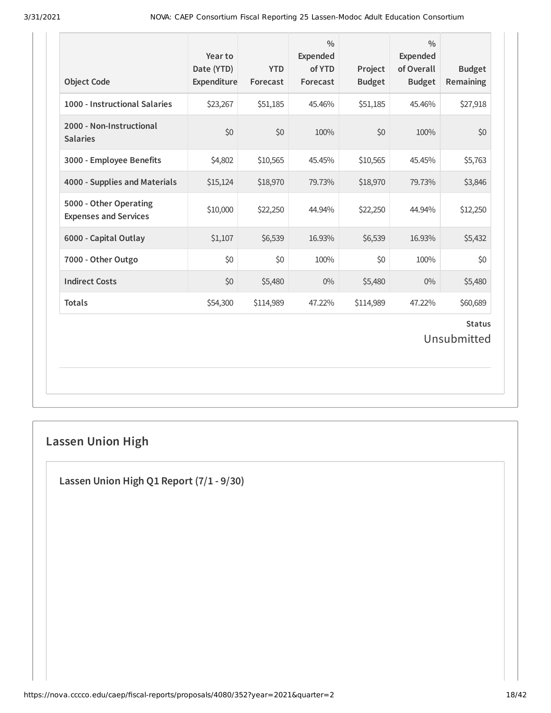| <b>Object Code</b>                                     | Year to<br>Date (YTD)<br>Expenditure | <b>YTD</b><br>Forecast | $\frac{0}{0}$<br>Expended<br>of YTD<br>Forecast | Project<br><b>Budget</b> | $\frac{0}{0}$<br><b>Expended</b><br>of Overall<br><b>Budget</b> | <b>Budget</b><br>Remaining   |
|--------------------------------------------------------|--------------------------------------|------------------------|-------------------------------------------------|--------------------------|-----------------------------------------------------------------|------------------------------|
| 1000 - Instructional Salaries                          | \$23,267                             | \$51,185               | 45.46%                                          | \$51,185                 | 45.46%                                                          | \$27,918                     |
| 2000 - Non-Instructional<br><b>Salaries</b>            | \$0                                  | \$0                    | 100%                                            | \$0                      | 100%                                                            | \$0                          |
| 3000 - Employee Benefits                               | \$4,802                              | \$10,565               | 45.45%                                          | \$10,565                 | 45.45%                                                          | \$5,763                      |
| 4000 - Supplies and Materials                          | \$15,124                             | \$18,970               | 79.73%                                          | \$18,970                 | 79.73%                                                          | \$3,846                      |
| 5000 - Other Operating<br><b>Expenses and Services</b> | \$10,000                             | \$22,250               | 44.94%                                          | \$22,250                 | 44.94%                                                          | \$12,250                     |
| 6000 - Capital Outlay                                  | \$1,107                              | \$6,539                | 16.93%                                          | \$6,539                  | 16.93%                                                          | \$5,432                      |
| 7000 - Other Outgo                                     | \$0                                  | \$0                    | 100%                                            | \$0                      | 100%                                                            | \$0                          |
| <b>Indirect Costs</b>                                  | \$0                                  | \$5,480                | $0\%$                                           | \$5,480                  | $0\%$                                                           | \$5,480                      |
| <b>Totals</b>                                          | \$54,300                             | \$114,989              | 47.22%                                          | \$114,989                | 47.22%                                                          | \$60,689                     |
|                                                        |                                      |                        |                                                 |                          |                                                                 | <b>Status</b><br>Unsubmitted |

## **Lassen Union High**

**Lassen Union High Q1 Report (7/1 - 9/30)**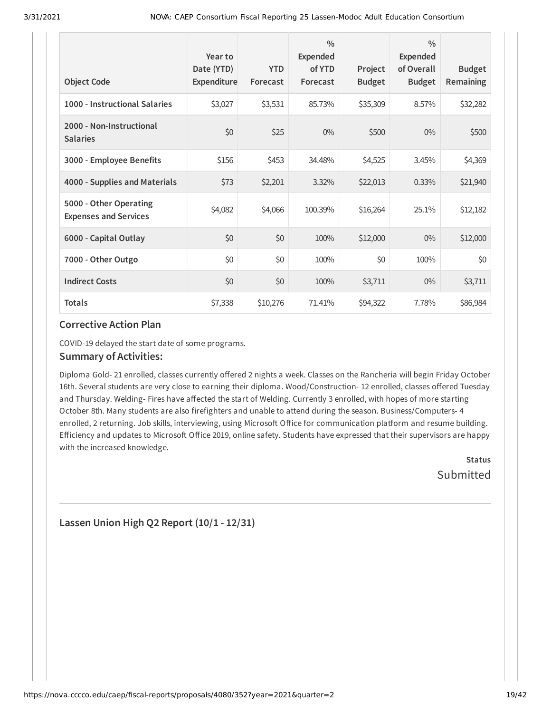| <b>Object Code</b>                                     | Year to<br>Date (YTD)<br><b>Expenditure</b> | <b>YTD</b><br>Forecast | $\frac{0}{0}$<br>Expended<br>of YTD<br>Forecast | Project<br><b>Budget</b> | $\frac{0}{0}$<br><b>Expended</b><br>of Overall<br><b>Budget</b> | <b>Budget</b><br><b>Remaining</b> |
|--------------------------------------------------------|---------------------------------------------|------------------------|-------------------------------------------------|--------------------------|-----------------------------------------------------------------|-----------------------------------|
| 1000 - Instructional Salaries                          | \$3,027                                     | \$3,531                | 85.73%                                          | \$35,309                 | 8.57%                                                           | \$32,282                          |
| 2000 - Non-Instructional<br><b>Salaries</b>            | \$0                                         | \$25                   | $0\%$                                           | \$500                    | $0\%$                                                           | \$500                             |
| 3000 - Employee Benefits                               | \$156                                       | \$453                  | 34.48%                                          | \$4,525                  | 3.45%                                                           | \$4,369                           |
| 4000 - Supplies and Materials                          | \$73                                        | \$2,201                | 3.32%                                           | \$22,013                 | 0.33%                                                           | \$21,940                          |
| 5000 - Other Operating<br><b>Expenses and Services</b> | \$4,082                                     | \$4,066                | 100.39%                                         | \$16,264                 | 25.1%                                                           | \$12,182                          |
| 6000 - Capital Outlay                                  | \$0                                         | \$0                    | 100%                                            | \$12,000                 | $0\%$                                                           | \$12,000                          |
| 7000 - Other Outgo                                     | \$0                                         | \$0                    | 100%                                            | \$0                      | 100%                                                            | \$0                               |
| <b>Indirect Costs</b>                                  | \$0                                         | \$0                    | 100%                                            | \$3,711                  | $0\%$                                                           | \$3,711                           |
| <b>Totals</b>                                          | \$7,338                                     | \$10,276               | 71.41%                                          | \$94,322                 | 7.78%                                                           | \$86,984                          |

COVID-19 delayed the start date of some programs.

#### **Summary of Activities:**

Diploma Gold- 21 enrolled, classes currently offered 2 nights a week. Classes on the Rancheria will begin Friday October 16th. Several students are very close to earning their diploma. Wood/Construction-12 enrolled, classes offered Tuesday and Thursday. Welding- Fires have affected the start of Welding. Currently 3 enrolled, with hopes of more starting October 8th. Many students are also firefighters and unable to attend during the season. Business/Computers- 4 enrolled, 2 returning. Job skills, interviewing, using Microsoft Office for communication platform and resume building. Efficiency and updates to Microsoft Office 2019, online safety. Students have expressed that their supervisors are happy with the increased knowledge.

> **Status Submitted**

### **Lassen Union High Q2 Report (10/1 - 12/31)**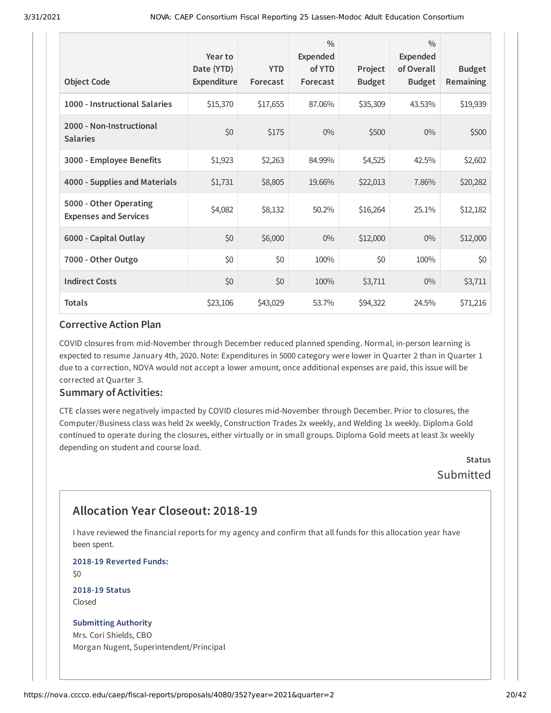| <b>Object Code</b>                                     | Year to<br>Date (YTD)<br><b>Expenditure</b> | <b>YTD</b><br>Forecast | $\frac{0}{0}$<br>Expended<br>of YTD<br>Forecast | Project<br><b>Budget</b> | $\frac{0}{0}$<br>Expended<br>of Overall<br><b>Budget</b> | <b>Budget</b><br>Remaining |
|--------------------------------------------------------|---------------------------------------------|------------------------|-------------------------------------------------|--------------------------|----------------------------------------------------------|----------------------------|
| 1000 - Instructional Salaries                          | \$15,370                                    | \$17,655               | 87.06%                                          | \$35,309                 | 43.53%                                                   | \$19,939                   |
| 2000 - Non-Instructional<br><b>Salaries</b>            | \$0                                         | \$175                  | $0\%$                                           | \$500                    | $0\%$                                                    | \$500                      |
| 3000 - Employee Benefits                               | \$1,923                                     | \$2,263                | 84.99%                                          | \$4,525                  | 42.5%                                                    | \$2,602                    |
| 4000 - Supplies and Materials                          | \$1,731                                     | \$8,805                | 19.66%                                          | \$22,013                 | 7.86%                                                    | \$20,282                   |
| 5000 - Other Operating<br><b>Expenses and Services</b> | \$4,082                                     | \$8,132                | 50.2%                                           | \$16,264                 | 25.1%                                                    | \$12,182                   |
| 6000 - Capital Outlay                                  | \$0                                         | \$6,000                | $0\%$                                           | \$12,000                 | $0\%$                                                    | \$12,000                   |
| 7000 - Other Outgo                                     | \$0                                         | \$0                    | 100%                                            | \$0                      | 100%                                                     | \$0                        |
| <b>Indirect Costs</b>                                  | \$0                                         | \$0                    | 100%                                            | \$3,711                  | $0\%$                                                    | \$3,711                    |
| <b>Totals</b>                                          | \$23,106                                    | \$43,029               | 53.7%                                           | \$94,322                 | 24.5%                                                    | \$71,216                   |

COVID closures from mid-November through December reduced planned spending. Normal, in-person learning is expected to resume January 4th, 2020. Note: Expenditures in 5000 category were lower in Quarter 2 than in Quarter 1 due to a correction, NOVA would not accept a lower amount, once additional expenses are paid, this issue will be corrected at Quarter 3.

#### **Summary of Activities:**

CTE classes were negatively impacted by COVID closures mid-November through December. Prior to closures, the Computer/Business class was held 2x weekly, Construction Trades 2x weekly, and Welding 1x weekly. Diploma Gold continued to operate during the closures, either virtually or in small groups. Diploma Gold meets at least 3x weekly depending on student and course load.

> **Status Submitted**

### **Allocation Year Closeout: 2018-19**

I have reviewed the financial reports for my agency and confirm that all funds for this allocation year have been spent.

**2018-19 Reverted Funds:**

\$0

**2018-19 Status** Closed

#### **Submitting Authority**

Mrs. Cori Shields, CBO Morgan Nugent, Superintendent/Principal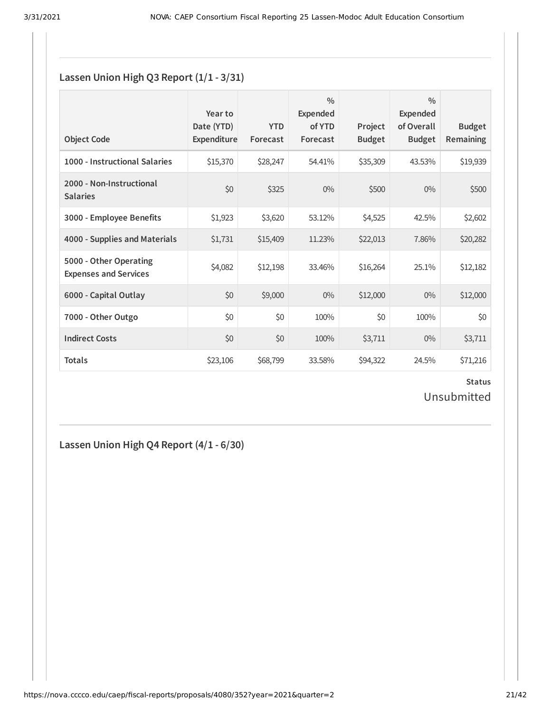### **Lassen Union High Q3 Report (1/1 - 3/31)**

| <b>Object Code</b>                                     | Year to<br>Date (YTD)<br>Expenditure | <b>YTD</b><br>Forecast | $\frac{0}{0}$<br>Expended<br>of YTD<br>Forecast | Project<br><b>Budget</b> | $\frac{0}{0}$<br>Expended<br>of Overall<br><b>Budget</b> | <b>Budget</b><br><b>Remaining</b> |
|--------------------------------------------------------|--------------------------------------|------------------------|-------------------------------------------------|--------------------------|----------------------------------------------------------|-----------------------------------|
| 1000 - Instructional Salaries                          | \$15,370                             | \$28,247               | 54.41%                                          | \$35,309                 | 43.53%                                                   | \$19,939                          |
| 2000 - Non-Instructional<br><b>Salaries</b>            | \$0                                  | \$325                  | $0\%$                                           | \$500                    | $0\%$                                                    | \$500                             |
| 3000 - Employee Benefits                               | \$1,923                              | \$3,620                | 53.12%                                          | \$4,525                  | 42.5%                                                    | \$2,602                           |
| 4000 - Supplies and Materials                          | \$1,731                              | \$15,409               | 11.23%                                          | \$22,013                 | 7.86%                                                    | \$20,282                          |
| 5000 - Other Operating<br><b>Expenses and Services</b> | \$4,082                              | \$12,198               | 33.46%                                          | \$16,264                 | 25.1%                                                    | \$12,182                          |
| 6000 - Capital Outlay                                  | \$0                                  | \$9,000                | $0\%$                                           | \$12,000                 | $0\%$                                                    | \$12,000                          |
| 7000 - Other Outgo                                     | \$0                                  | \$0                    | 100%                                            | \$0                      | 100%                                                     | \$0                               |
| <b>Indirect Costs</b>                                  | \$0                                  | \$0                    | 100%                                            | \$3,711                  | $0\%$                                                    | \$3,711                           |
| <b>Totals</b>                                          | \$23,106                             | \$68,799               | 33.58%                                          | \$94,322                 | 24.5%                                                    | \$71,216                          |

**Status** Unsubmitted

**Lassen Union High Q4 Report (4/1 - 6/30)**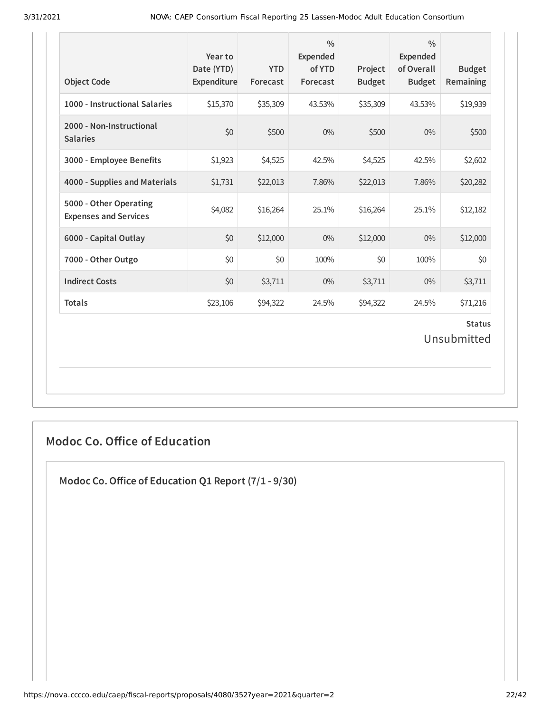| <b>Object Code</b>                                     | Year to<br>Date (YTD)<br>Expenditure | <b>YTD</b><br>Forecast | $\frac{0}{0}$<br><b>Expended</b><br>of YTD<br>Forecast | Project<br><b>Budget</b> | $\frac{0}{0}$<br><b>Expended</b><br>of Overall<br><b>Budget</b> | <b>Budget</b><br><b>Remaining</b> |
|--------------------------------------------------------|--------------------------------------|------------------------|--------------------------------------------------------|--------------------------|-----------------------------------------------------------------|-----------------------------------|
| 1000 - Instructional Salaries                          | \$15,370                             | \$35,309               | 43.53%                                                 | \$35,309                 | 43.53%                                                          | \$19,939                          |
| 2000 - Non-Instructional<br><b>Salaries</b>            | \$0                                  | \$500                  | $0\%$                                                  | \$500                    | $0\%$                                                           | \$500                             |
| 3000 - Employee Benefits                               | \$1,923                              | \$4,525                | 42.5%                                                  | \$4,525                  | 42.5%                                                           | \$2,602                           |
| 4000 - Supplies and Materials                          | \$1,731                              | \$22,013               | 7.86%                                                  | \$22,013                 | 7.86%                                                           | \$20,282                          |
| 5000 - Other Operating<br><b>Expenses and Services</b> | \$4,082                              | \$16,264               | 25.1%                                                  | \$16,264                 | 25.1%                                                           | \$12,182                          |
| 6000 - Capital Outlay                                  | \$0                                  | \$12,000               | $0\%$                                                  | \$12,000                 | $0\%$                                                           | \$12,000                          |
| 7000 - Other Outgo                                     | \$0                                  | \$0                    | 100%                                                   | \$0                      | 100%                                                            | \$0                               |
| <b>Indirect Costs</b>                                  | \$0                                  | \$3,711                | $0\%$                                                  | \$3,711                  | $0\%$                                                           | \$3,711                           |
| <b>Totals</b>                                          | \$23,106                             | \$94,322               | 24.5%                                                  | \$94,322                 | 24.5%                                                           | \$71,216                          |
|                                                        |                                      |                        |                                                        |                          |                                                                 | <b>Status</b><br>Unsubmitted      |

### **Modoc Co. Office of Education**

**Modoc Co.Oice of Education Q1 Report (7/1 - 9/30)**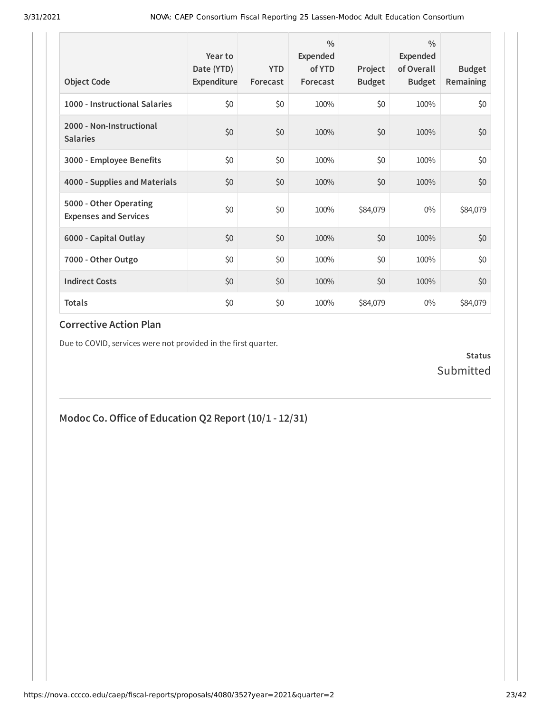| <b>Object Code</b>                                     | Year to<br>Date (YTD)<br>Expenditure | <b>YTD</b><br>Forecast | $\frac{0}{0}$<br>Expended<br>of YTD<br>Forecast | Project<br><b>Budget</b> | $\frac{0}{0}$<br>Expended<br>of Overall<br><b>Budget</b> | <b>Budget</b><br><b>Remaining</b> |
|--------------------------------------------------------|--------------------------------------|------------------------|-------------------------------------------------|--------------------------|----------------------------------------------------------|-----------------------------------|
| 1000 - Instructional Salaries                          | \$0                                  | \$0                    | 100%                                            | \$0                      | 100%                                                     | \$0                               |
| 2000 - Non-Instructional<br><b>Salaries</b>            | \$0                                  | \$0                    | 100%                                            | \$0                      | 100%                                                     | \$0                               |
| 3000 - Employee Benefits                               | \$0                                  | \$0                    | 100%                                            | \$0                      | 100%                                                     | \$0                               |
| 4000 - Supplies and Materials                          | \$0                                  | \$0                    | 100%                                            | \$0                      | 100%                                                     | \$0                               |
| 5000 - Other Operating<br><b>Expenses and Services</b> | \$0                                  | \$0                    | 100%                                            | \$84,079                 | $0\%$                                                    | \$84,079                          |
| 6000 - Capital Outlay                                  | \$0                                  | \$0                    | 100%                                            | \$0                      | 100%                                                     | \$0                               |
| 7000 - Other Outgo                                     | \$0                                  | \$0                    | 100%                                            | \$0                      | 100%                                                     | \$0                               |
| <b>Indirect Costs</b>                                  | \$0                                  | \$0                    | 100%                                            | \$0                      | 100%                                                     | \$0                               |
| <b>Totals</b>                                          | \$0                                  | \$0                    | 100%                                            | \$84,079                 | $0\%$                                                    | \$84,079                          |

Due to COVID, services were not provided in the first quarter.

**Status** Submitted

## **Modoc Co.Oice of Education Q2 Report (10/1 - 12/31)**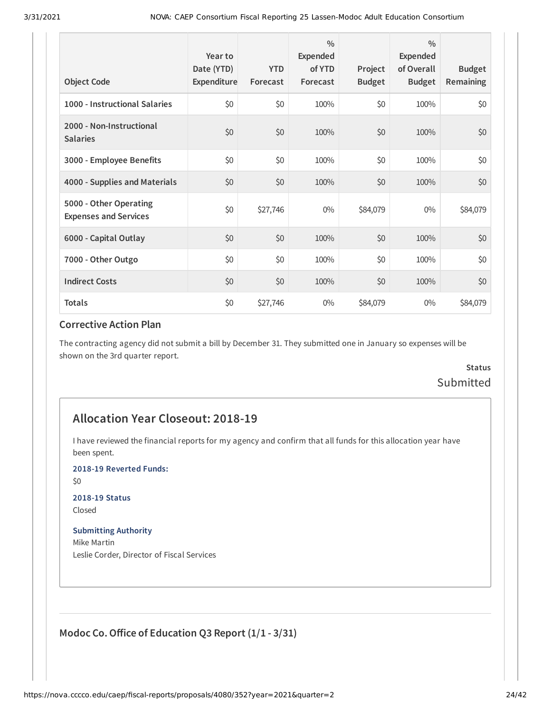| <b>Object Code</b>                                     | Year to<br>Date (YTD)<br>Expenditure | <b>YTD</b><br>Forecast | $\frac{0}{0}$<br>Expended<br>of YTD<br>Forecast | Project<br><b>Budget</b> | $\frac{0}{0}$<br>Expended<br>of Overall<br><b>Budget</b> | <b>Budget</b><br>Remaining |
|--------------------------------------------------------|--------------------------------------|------------------------|-------------------------------------------------|--------------------------|----------------------------------------------------------|----------------------------|
| 1000 - Instructional Salaries                          | \$0                                  | \$0                    | 100%                                            | \$0                      | 100%                                                     | \$0                        |
| 2000 - Non-Instructional<br><b>Salaries</b>            | \$0                                  | \$0                    | 100%                                            | \$0                      | 100%                                                     | \$0                        |
| 3000 - Employee Benefits                               | \$0                                  | \$0                    | 100%                                            | \$0                      | 100%                                                     | \$0                        |
| 4000 - Supplies and Materials                          | \$0                                  | \$0                    | 100%                                            | \$0                      | 100%                                                     | \$0                        |
| 5000 - Other Operating<br><b>Expenses and Services</b> | \$0                                  | \$27,746               | $0\%$                                           | \$84,079                 | $0\%$                                                    | \$84,079                   |
| 6000 - Capital Outlay                                  | \$0                                  | \$0                    | 100%                                            | \$0                      | 100%                                                     | \$0                        |
| 7000 - Other Outgo                                     | \$0                                  | \$0                    | 100%                                            | \$0                      | 100%                                                     | \$0                        |
| <b>Indirect Costs</b>                                  | \$0                                  | \$0                    | 100%                                            | \$0                      | 100%                                                     | \$0                        |
| <b>Totals</b>                                          | \$0                                  | \$27,746               | $0\%$                                           | \$84,079                 | $0\%$                                                    | \$84,079                   |

The contracting agency did not submit a bill by December 31. They submitted one in January so expenses will be shown on the 3rd quarter report.

### **Status** Submitted

#### **Allocation Year Closeout: 2018-19**

I have reviewed the financial reports for my agency and confirm that all funds for this allocation year have been spent.

**2018-19 Reverted Funds:**

\$0

#### **2018-19 Status**

Closed

#### **Submitting Authority**

Mike Martin Leslie Corder, Director of Fiscal Services

### **Modoc Co.Oice of Education Q3 Report (1/1 - 3/31)**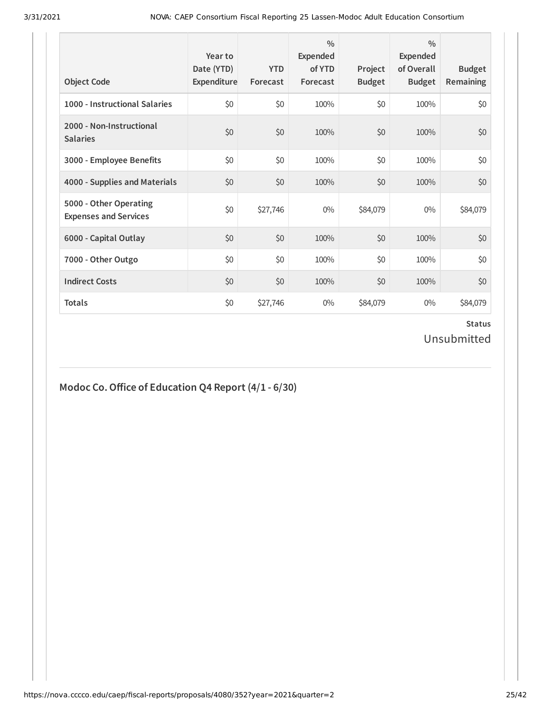| <b>Object Code</b>                                     | Year to<br>Date (YTD)<br>Expenditure | <b>YTD</b><br>Forecast | $\frac{0}{0}$<br>Expended<br>of YTD<br>Forecast | Project<br><b>Budget</b> | $\frac{0}{0}$<br>Expended<br>of Overall<br><b>Budget</b> | <b>Budget</b><br><b>Remaining</b> |
|--------------------------------------------------------|--------------------------------------|------------------------|-------------------------------------------------|--------------------------|----------------------------------------------------------|-----------------------------------|
| 1000 - Instructional Salaries                          | \$0                                  | \$0                    | 100%                                            | \$0                      | 100%                                                     | \$0                               |
| 2000 - Non-Instructional<br><b>Salaries</b>            | \$0                                  | \$0                    | 100%                                            | \$0                      | 100%                                                     | \$0                               |
| 3000 - Employee Benefits                               | \$0                                  | \$0                    | 100%                                            | \$0                      | 100%                                                     | \$0                               |
| 4000 - Supplies and Materials                          | \$0                                  | \$0                    | 100%                                            | \$0                      | 100%                                                     | \$0                               |
| 5000 - Other Operating<br><b>Expenses and Services</b> | \$0                                  | \$27,746               | $0\%$                                           | \$84,079                 | $0\%$                                                    | \$84,079                          |
| 6000 - Capital Outlay                                  | \$0                                  | \$0                    | 100%                                            | \$0                      | 100%                                                     | \$0                               |
| 7000 - Other Outgo                                     | \$0                                  | \$0                    | 100%                                            | \$0                      | 100%                                                     | \$0                               |
| <b>Indirect Costs</b>                                  | \$0                                  | \$0                    | 100%                                            | \$0                      | 100%                                                     | \$0                               |
| <b>Totals</b>                                          | \$0                                  | \$27,746               | $0\%$                                           | \$84,079                 | $0\%$                                                    | \$84,079                          |

### **Status** Unsubmitted

### **Modoc Co.Oice of Education Q4 Report (4/1 - 6/30)**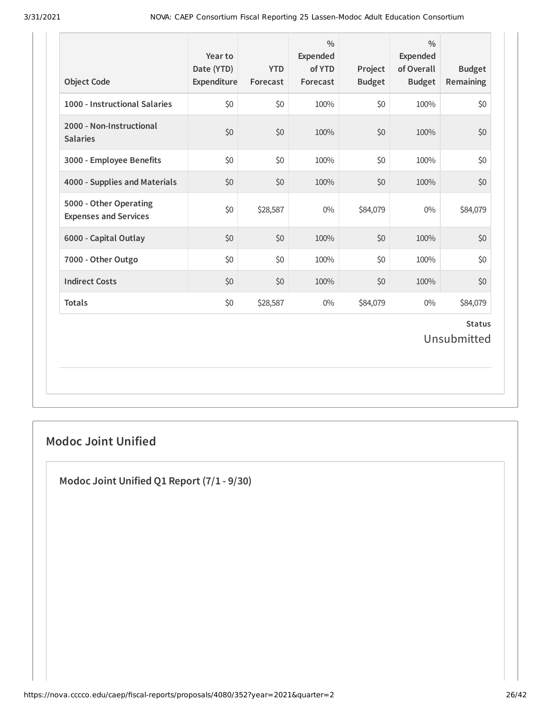| <b>Object Code</b>                                     | Year to<br>Date (YTD)<br>Expenditure | <b>YTD</b><br>Forecast | $\frac{0}{0}$<br>Expended<br>of YTD<br>Forecast | Project<br><b>Budget</b> | $\frac{0}{0}$<br><b>Expended</b><br>of Overall<br><b>Budget</b> | <b>Budget</b><br>Remaining   |
|--------------------------------------------------------|--------------------------------------|------------------------|-------------------------------------------------|--------------------------|-----------------------------------------------------------------|------------------------------|
| 1000 - Instructional Salaries                          | \$0                                  | \$0                    | 100%                                            | \$0                      | 100%                                                            | \$0                          |
| 2000 - Non-Instructional<br><b>Salaries</b>            | \$0                                  | \$0                    | 100%                                            | \$0                      | 100%                                                            | \$0                          |
| 3000 - Employee Benefits                               | \$0                                  | \$0                    | 100%                                            | \$0                      | 100%                                                            | \$0                          |
| 4000 - Supplies and Materials                          | \$0                                  | \$0                    | 100%                                            | \$0                      | 100%                                                            | \$0                          |
| 5000 - Other Operating<br><b>Expenses and Services</b> | \$0                                  | \$28,587               | $0\%$                                           | \$84,079                 | $0\%$                                                           | \$84,079                     |
| 6000 - Capital Outlay                                  | \$0                                  | \$0                    | 100%                                            | \$0                      | 100%                                                            | \$0                          |
| 7000 - Other Outgo                                     | \$0                                  | \$0                    | 100%                                            | \$0                      | 100%                                                            | \$0                          |
| <b>Indirect Costs</b>                                  | \$0                                  | \$0                    | 100%                                            | \$0                      | 100%                                                            | \$0                          |
| <b>Totals</b>                                          | \$0                                  | \$28,587               | $0\%$                                           | \$84,079                 | $0\%$                                                           | \$84,079                     |
|                                                        |                                      |                        |                                                 |                          |                                                                 | <b>Status</b><br>Unsubmitted |

### **Modoc Joint Unified**

**Modoc Joint Unified Q1 Report (7/1 - 9/30)**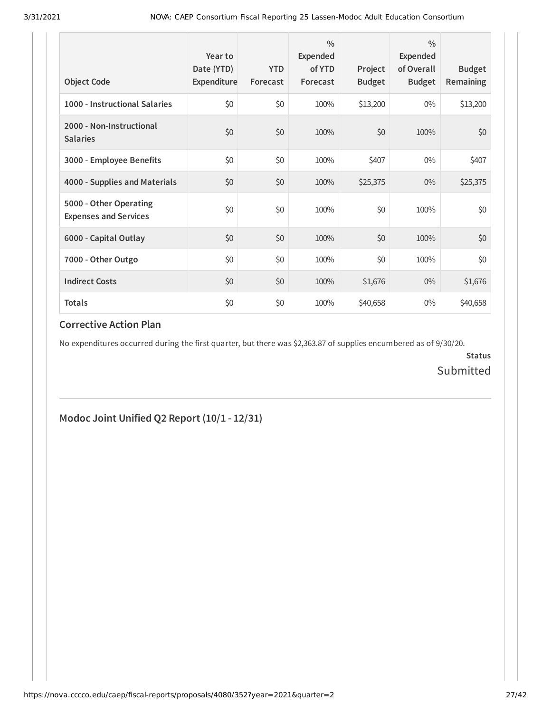| <b>Object Code</b>                                     | Year to<br>Date (YTD)<br>Expenditure | <b>YTD</b><br>Forecast | $\frac{0}{0}$<br>Expended<br>of YTD<br>Forecast | Project<br><b>Budget</b> | $\frac{0}{0}$<br>Expended<br>of Overall<br><b>Budget</b> | <b>Budget</b><br><b>Remaining</b> |
|--------------------------------------------------------|--------------------------------------|------------------------|-------------------------------------------------|--------------------------|----------------------------------------------------------|-----------------------------------|
| 1000 - Instructional Salaries                          | \$0                                  | \$0                    | 100%                                            | \$13,200                 | $0\%$                                                    | \$13,200                          |
| 2000 - Non-Instructional<br><b>Salaries</b>            | \$0                                  | \$0                    | 100%                                            | \$0                      | 100%                                                     | \$0                               |
| 3000 - Employee Benefits                               | \$0                                  | \$0                    | 100%                                            | \$407                    | $0\%$                                                    | \$407                             |
| 4000 - Supplies and Materials                          | \$0                                  | \$0                    | 100%                                            | \$25,375                 | $0\%$                                                    | \$25,375                          |
| 5000 - Other Operating<br><b>Expenses and Services</b> | \$0                                  | \$0                    | 100%                                            | \$0                      | 100%                                                     | \$0                               |
| 6000 - Capital Outlay                                  | \$0                                  | \$0                    | 100%                                            | \$0                      | 100%                                                     | \$0                               |
| 7000 - Other Outgo                                     | \$0                                  | \$0                    | 100%                                            | \$0                      | 100%                                                     | \$0                               |
| <b>Indirect Costs</b>                                  | \$0                                  | \$0                    | 100%                                            | \$1,676                  | $0\%$                                                    | \$1,676                           |
| <b>Totals</b>                                          | \$0                                  | \$0                    | 100%                                            | \$40,658                 | $0\%$                                                    | \$40,658                          |

No expenditures occurred during the first quarter, but there was \$2,363.87 of supplies encumbered as of 9/30/20.

**Status** Submitted

### **Modoc Joint Unified Q2 Report (10/1 - 12/31)**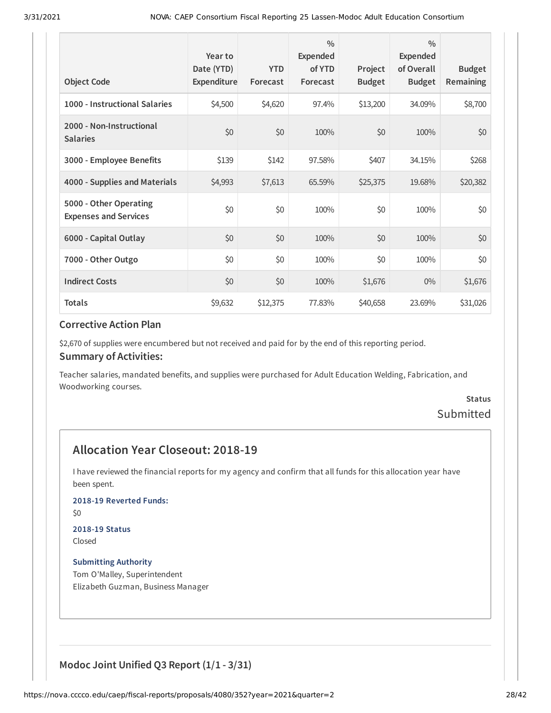| <b>Object Code</b>                                     | Year to<br>Date (YTD)<br>Expenditure | <b>YTD</b><br>Forecast | $\frac{0}{0}$<br>Expended<br>of YTD<br>Forecast | Project<br><b>Budget</b> | $\frac{0}{0}$<br>Expended<br>of Overall<br><b>Budget</b> | <b>Budget</b><br><b>Remaining</b> |
|--------------------------------------------------------|--------------------------------------|------------------------|-------------------------------------------------|--------------------------|----------------------------------------------------------|-----------------------------------|
| 1000 - Instructional Salaries                          | \$4,500                              | \$4,620                | 97.4%                                           | \$13,200                 | 34.09%                                                   | \$8,700                           |
| 2000 - Non-Instructional<br><b>Salaries</b>            | \$0                                  | \$0                    | 100%                                            | \$0                      | 100%                                                     | \$0                               |
| 3000 - Employee Benefits                               | \$139                                | \$142                  | 97.58%                                          | \$407                    | 34.15%                                                   | \$268                             |
| 4000 - Supplies and Materials                          | \$4,993                              | \$7,613                | 65.59%                                          | \$25,375                 | 19.68%                                                   | \$20,382                          |
| 5000 - Other Operating<br><b>Expenses and Services</b> | \$0                                  | \$0                    | 100%                                            | \$0                      | 100%                                                     | \$0                               |
| 6000 - Capital Outlay                                  | \$0                                  | \$0                    | 100%                                            | \$0                      | 100%                                                     | \$0                               |
| 7000 - Other Outgo                                     | \$0                                  | \$0                    | 100%                                            | \$0                      | 100%                                                     | \$0\$                             |
| <b>Indirect Costs</b>                                  | \$0                                  | \$0                    | 100%                                            | \$1,676                  | $0\%$                                                    | \$1,676                           |
| <b>Totals</b>                                          | \$9,632                              | \$12,375               | 77.83%                                          | \$40,658                 | 23.69%                                                   | \$31,026                          |

\$2,670 of supplies were encumbered but not received and paid for by the end of this reporting period.

#### **Summary of Activities:**

Teacher salaries, mandated benefits, and supplies were purchased for Adult Education Welding, Fabrication, and Woodworking courses.

### **Status** Submitted

### **Allocation Year Closeout: 2018-19**

I have reviewed the financial reports for my agency and confirm that all funds for this allocation year have been spent.

**2018-19 Reverted Funds:**

\$0

## **2018-19 Status**

Closed

**Submitting Authority** Tom O'Malley, Superintendent Elizabeth Guzman, Business Manager

**Modoc Joint Unified Q3 Report (1/1 - 3/31)**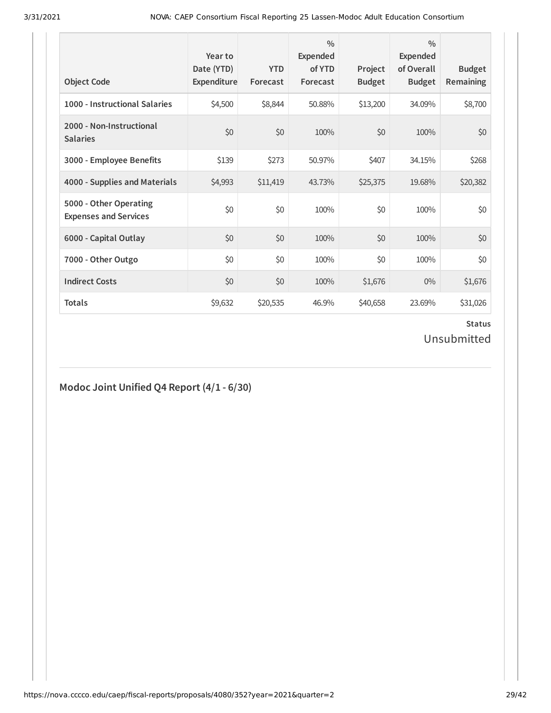| <b>Object Code</b>                                     | Year to<br>Date (YTD)<br>Expenditure | <b>YTD</b><br>Forecast | $\frac{0}{0}$<br><b>Expended</b><br>of YTD<br>Forecast | Project<br><b>Budget</b> | $\frac{0}{0}$<br><b>Expended</b><br>of Overall<br><b>Budget</b> | <b>Budget</b><br>Remaining |
|--------------------------------------------------------|--------------------------------------|------------------------|--------------------------------------------------------|--------------------------|-----------------------------------------------------------------|----------------------------|
| 1000 - Instructional Salaries                          | \$4,500                              | \$8,844                | 50.88%                                                 | \$13,200                 | 34.09%                                                          | \$8,700                    |
| 2000 - Non-Instructional<br><b>Salaries</b>            | \$0                                  | \$0                    | 100%                                                   | \$0                      | 100%                                                            | \$0                        |
| 3000 - Employee Benefits                               | \$139                                | \$273                  | 50.97%                                                 | \$407                    | 34.15%                                                          | \$268                      |
| 4000 - Supplies and Materials                          | \$4,993                              | \$11,419               | 43.73%                                                 | \$25,375                 | 19.68%                                                          | \$20,382                   |
| 5000 - Other Operating<br><b>Expenses and Services</b> | \$0                                  | \$0                    | 100%                                                   | \$0                      | 100%                                                            | \$0                        |
| 6000 - Capital Outlay                                  | \$0                                  | \$0                    | 100%                                                   | \$0                      | 100%                                                            | \$0                        |
| 7000 - Other Outgo                                     | \$0                                  | \$0                    | 100%                                                   | \$0                      | 100%                                                            | \$0                        |
| <b>Indirect Costs</b>                                  | \$0                                  | \$0                    | 100%                                                   | \$1,676                  | $0\%$                                                           | \$1,676                    |
| <b>Totals</b>                                          | \$9,632                              | \$20,535               | 46.9%                                                  | \$40,658                 | 23.69%                                                          | \$31,026                   |

### **Status** Unsubmitted

## **Modoc Joint Unified Q4 Report (4/1 - 6/30)**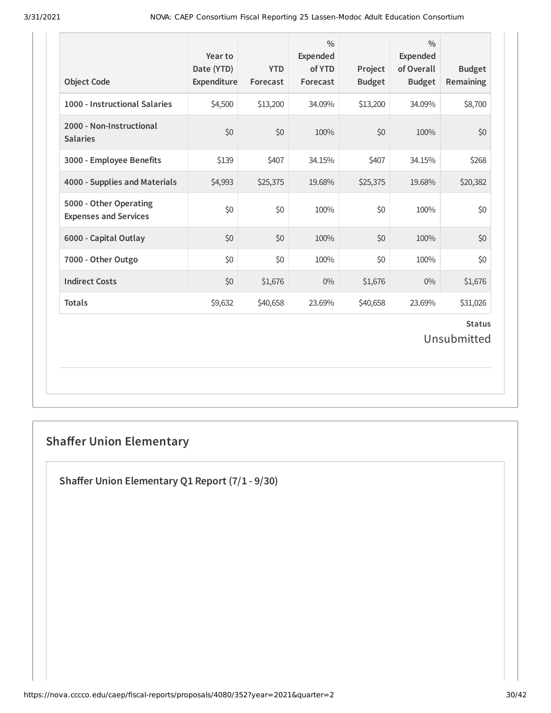| <b>Object Code</b>                                     | Year to<br>Date (YTD)<br>Expenditure | <b>YTD</b><br>Forecast | $\frac{0}{0}$<br><b>Expended</b><br>of YTD<br>Forecast | Project<br><b>Budget</b> | $\frac{0}{0}$<br><b>Expended</b><br>of Overall<br><b>Budget</b> | <b>Budget</b><br>Remaining   |
|--------------------------------------------------------|--------------------------------------|------------------------|--------------------------------------------------------|--------------------------|-----------------------------------------------------------------|------------------------------|
| 1000 - Instructional Salaries                          | \$4,500                              | \$13,200               | 34.09%                                                 | \$13,200                 | 34.09%                                                          | \$8,700                      |
| 2000 - Non-Instructional<br><b>Salaries</b>            | \$0                                  | \$0                    | 100%                                                   | \$0                      | 100%                                                            | \$0                          |
| 3000 - Employee Benefits                               | \$139                                | \$407                  | 34.15%                                                 | \$407                    | 34.15%                                                          | \$268                        |
| 4000 - Supplies and Materials                          | \$4,993                              | \$25,375               | 19.68%                                                 | \$25,375                 | 19.68%                                                          | \$20,382                     |
| 5000 - Other Operating<br><b>Expenses and Services</b> | \$0                                  | \$0                    | 100%                                                   | \$0                      | 100%                                                            | \$0                          |
| 6000 - Capital Outlay                                  | \$0                                  | \$0                    | 100%                                                   | \$0                      | 100%                                                            | \$0                          |
| 7000 - Other Outgo                                     | \$0                                  | \$0                    | 100%                                                   | \$0                      | 100%                                                            | \$0                          |
| <b>Indirect Costs</b>                                  | \$0                                  | \$1,676                | $0\%$                                                  | \$1,676                  | $0\%$                                                           | \$1,676                      |
| <b>Totals</b>                                          | \$9,632                              | \$40,658               | 23.69%                                                 | \$40,658                 | 23.69%                                                          | \$31,026                     |
|                                                        |                                      |                        |                                                        |                          |                                                                 | <b>Status</b><br>Unsubmitted |

## **Shaffer Union Elementary**

**Shaer Union Elementary Q1 Report (7/1 - 9/30)**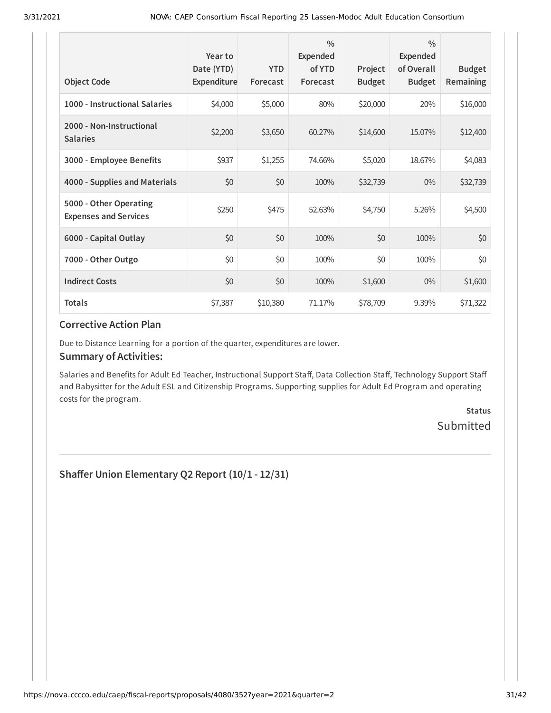| <b>Object Code</b>                                     | Year to<br>Date (YTD)<br>Expenditure | <b>YTD</b><br>Forecast | $\frac{0}{0}$<br>Expended<br>of YTD<br>Forecast | Project<br><b>Budget</b> | $\frac{0}{0}$<br>Expended<br>of Overall<br><b>Budget</b> | <b>Budget</b><br>Remaining |
|--------------------------------------------------------|--------------------------------------|------------------------|-------------------------------------------------|--------------------------|----------------------------------------------------------|----------------------------|
| 1000 - Instructional Salaries                          | \$4,000                              | \$5,000                | 80%                                             | \$20,000                 | 20%                                                      | \$16,000                   |
| 2000 - Non-Instructional<br><b>Salaries</b>            | \$2,200                              | \$3,650                | 60.27%                                          | \$14,600                 | 15.07%                                                   | \$12,400                   |
| 3000 - Employee Benefits                               | \$937                                | \$1,255                | 74.66%                                          | \$5,020                  | 18.67%                                                   | \$4,083                    |
| 4000 - Supplies and Materials                          | \$0                                  | \$0                    | 100%                                            | \$32,739                 | $0\%$                                                    | \$32,739                   |
| 5000 - Other Operating<br><b>Expenses and Services</b> | \$250                                | \$475                  | 52.63%                                          | \$4,750                  | 5.26%                                                    | \$4,500                    |
| 6000 - Capital Outlay                                  | \$0                                  | \$0                    | 100%                                            | \$0                      | 100%                                                     | \$0                        |
| 7000 - Other Outgo                                     | \$0                                  | \$0                    | 100%                                            | \$0                      | 100%                                                     | \$0                        |
| <b>Indirect Costs</b>                                  | \$0                                  | \$0                    | 100%                                            | \$1,600                  | $0\%$                                                    | \$1,600                    |
| <b>Totals</b>                                          | \$7,387                              | \$10,380               | 71.17%                                          | \$78,709                 | 9.39%                                                    | \$71,322                   |

Due to Distance Learning for a portion of the quarter, expenditures are lower.

#### **Summary of Activities:**

Salaries and Benefits for Adult Ed Teacher, Instructional Support Staff, Data Collection Staff, Technology Support Staff and Babysitter for the Adult ESL and Citizenship Programs. Supporting supplies for Adult Ed Program and operating costs for the program.

> **Status** Submitted

**Shaer Union Elementary Q2 Report (10/1 - 12/31)**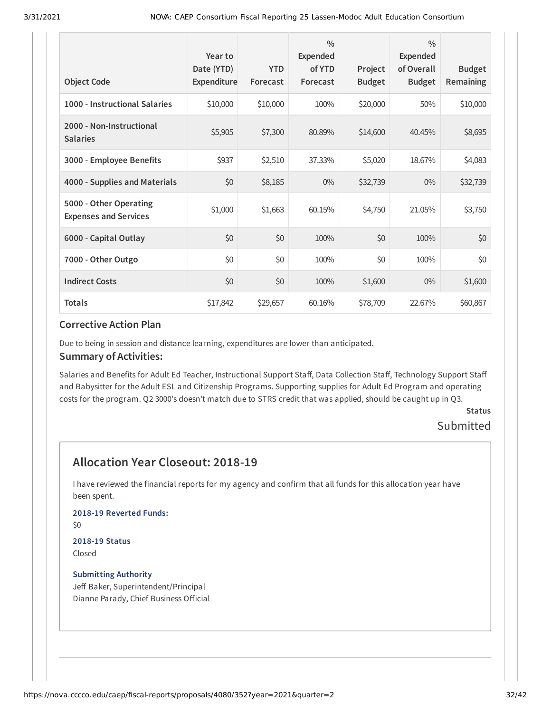| <b>Object Code</b>                                     | Year to<br>Date (YTD)<br>Expenditure | <b>YTD</b><br>Forecast | $\frac{0}{0}$<br>Expended<br>of YTD<br>Forecast | Project<br><b>Budget</b> | $\frac{0}{0}$<br>Expended<br>of Overall<br><b>Budget</b> | <b>Budget</b><br><b>Remaining</b> |
|--------------------------------------------------------|--------------------------------------|------------------------|-------------------------------------------------|--------------------------|----------------------------------------------------------|-----------------------------------|
| 1000 - Instructional Salaries                          | \$10,000                             | \$10,000               | 100%                                            | \$20,000                 | 50%                                                      | \$10,000                          |
| 2000 - Non-Instructional<br><b>Salaries</b>            | \$5,905                              | \$7,300                | 80.89%                                          | \$14,600                 | 40.45%                                                   | \$8,695                           |
| 3000 - Employee Benefits                               | \$937                                | \$2,510                | 37.33%                                          | \$5,020                  | 18.67%                                                   | \$4,083                           |
| 4000 - Supplies and Materials                          | \$0                                  | \$8,185                | $0\%$                                           | \$32,739                 | $0\%$                                                    | \$32,739                          |
| 5000 - Other Operating<br><b>Expenses and Services</b> | \$1,000                              | \$1,663                | 60.15%                                          | \$4,750                  | 21.05%                                                   | \$3,750                           |
| 6000 - Capital Outlay                                  | \$0                                  | \$0                    | 100%                                            | \$0                      | 100%                                                     | \$0                               |
| 7000 - Other Outgo                                     | \$0                                  | \$0                    | 100%                                            | \$0                      | 100%                                                     | \$0                               |
| <b>Indirect Costs</b>                                  | \$0                                  | \$0                    | 100%                                            | \$1,600                  | $0\%$                                                    | \$1,600                           |
| <b>Totals</b>                                          | \$17,842                             | \$29,657               | 60.16%                                          | \$78,709                 | 22.67%                                                   | \$60,867                          |

Due to being in session and distance learning, expenditures are lower than anticipated.

#### **Summary of Activities:**

Salaries and Benefits for Adult Ed Teacher, Instructional Support Staff, Data Collection Staff, Technology Support Staff and Babysitter for the Adult ESL and Citizenship Programs. Supporting supplies for Adult Ed Program and operating costs for the program. Q2 3000's doesn't match due to STRS credit that was applied, should be caught up in Q3.

## **Status**

### Submitted

### **Allocation Year Closeout: 2018-19**

I have reviewed the financial reports for my agency and confirm that all funds for this allocation year have been spent.

### **2018-19 Reverted Funds:**

\$0

#### **2018-19 Status** Closed

#### **Submitting Authority**

Jeff Baker, Superintendent/Principal Dianne Parady, Chief Business Official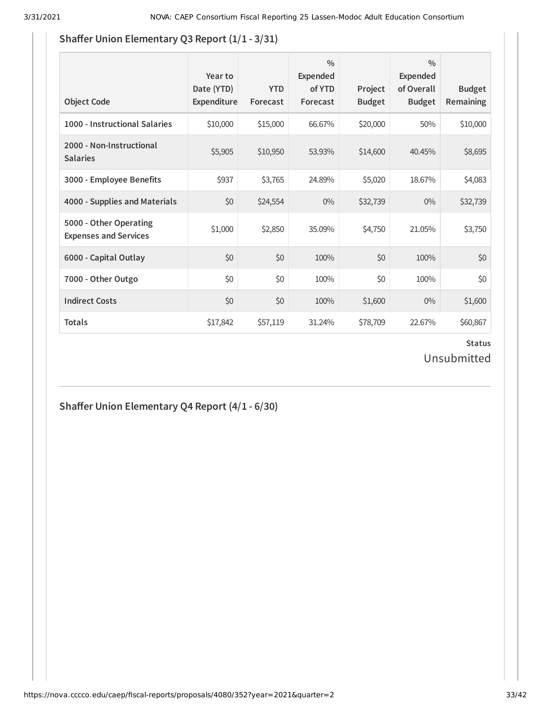### **Shaffer Union Elementary Q3 Report (1/1 - 3/31)**

| <b>Object Code</b>                                     | Year to<br>Date (YTD)<br>Expenditure | <b>YTD</b><br>Forecast | $\frac{0}{0}$<br>Expended<br>of YTD<br>Forecast | Project<br><b>Budget</b> | $\frac{0}{0}$<br>Expended<br>of Overall<br><b>Budget</b> | <b>Budget</b><br><b>Remaining</b> |
|--------------------------------------------------------|--------------------------------------|------------------------|-------------------------------------------------|--------------------------|----------------------------------------------------------|-----------------------------------|
| 1000 - Instructional Salaries                          | \$10,000                             | \$15,000               | 66.67%                                          | \$20,000                 | 50%                                                      | \$10,000                          |
| 2000 - Non-Instructional<br><b>Salaries</b>            | \$5,905                              | \$10,950               | 53.93%                                          | \$14,600                 | 40.45%                                                   | \$8,695                           |
| 3000 - Employee Benefits                               | \$937                                | \$3,765                | 24.89%                                          | \$5,020                  | 18.67%                                                   | \$4,083                           |
| 4000 - Supplies and Materials                          | \$0                                  | \$24,554               | $0\%$                                           | \$32,739                 | $0\%$                                                    | \$32,739                          |
| 5000 - Other Operating<br><b>Expenses and Services</b> | \$1,000                              | \$2,850                | 35.09%                                          | \$4,750                  | 21.05%                                                   | \$3,750                           |
| 6000 - Capital Outlay                                  | \$0                                  | \$0                    | 100%                                            | \$0                      | 100%                                                     | \$0                               |
| 7000 - Other Outgo                                     | \$0                                  | \$0                    | 100%                                            | \$0                      | 100%                                                     | \$0                               |
| <b>Indirect Costs</b>                                  | \$0                                  | \$0                    | 100%                                            | \$1,600                  | $0\%$                                                    | \$1,600                           |
| <b>Totals</b>                                          | \$17,842                             | \$57,119               | 31.24%                                          | \$78,709                 | 22.67%                                                   | \$60,867                          |

### **Status** Unsubmitted

### **Shaer Union Elementary Q4 Report (4/1 - 6/30)**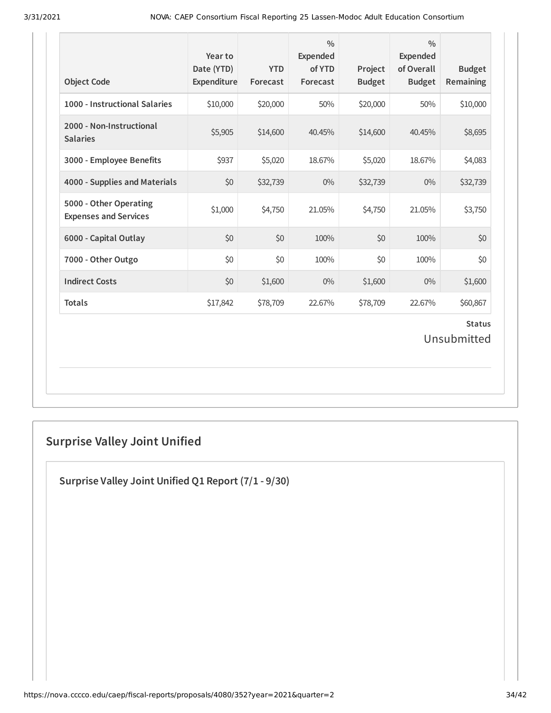| <b>Object Code</b>                                     | Year to<br>Date (YTD)<br>Expenditure | <b>YTD</b><br>Forecast | $\frac{0}{0}$<br><b>Expended</b><br>of YTD<br>Forecast | Project<br><b>Budget</b> | $\frac{0}{0}$<br><b>Expended</b><br>of Overall<br><b>Budget</b> | <b>Budget</b><br>Remaining   |
|--------------------------------------------------------|--------------------------------------|------------------------|--------------------------------------------------------|--------------------------|-----------------------------------------------------------------|------------------------------|
| 1000 - Instructional Salaries                          | \$10,000                             | \$20,000               | 50%                                                    | \$20,000                 | 50%                                                             | \$10,000                     |
| 2000 - Non-Instructional<br><b>Salaries</b>            | \$5,905                              | \$14,600               | 40.45%                                                 | \$14,600                 | 40.45%                                                          | \$8,695                      |
| 3000 - Employee Benefits                               | \$937                                | \$5,020                | 18.67%                                                 | \$5,020                  | 18.67%                                                          | \$4,083                      |
| 4000 - Supplies and Materials                          | \$0                                  | \$32,739               | $0\%$                                                  | \$32,739                 | $0\%$                                                           | \$32,739                     |
| 5000 - Other Operating<br><b>Expenses and Services</b> | \$1,000                              | \$4,750                | 21.05%                                                 | \$4,750                  | 21.05%                                                          | \$3,750                      |
| 6000 - Capital Outlay                                  | \$0                                  | \$0                    | 100%                                                   | \$0                      | 100%                                                            | \$0                          |
| 7000 - Other Outgo                                     | \$0                                  | \$0                    | 100%                                                   | \$0                      | 100%                                                            | \$0                          |
| <b>Indirect Costs</b>                                  | \$0                                  | \$1,600                | $0\%$                                                  | \$1,600                  | $0\%$                                                           | \$1,600                      |
| <b>Totals</b>                                          | \$17,842                             | \$78,709               | 22.67%                                                 | \$78,709                 | 22.67%                                                          | \$60,867                     |
|                                                        |                                      |                        |                                                        |                          |                                                                 | <b>Status</b><br>Unsubmitted |

## **Surprise Valley Joint Unified**

**Surprise Valley Joint Unified Q1 Report (7/1 - 9/30)**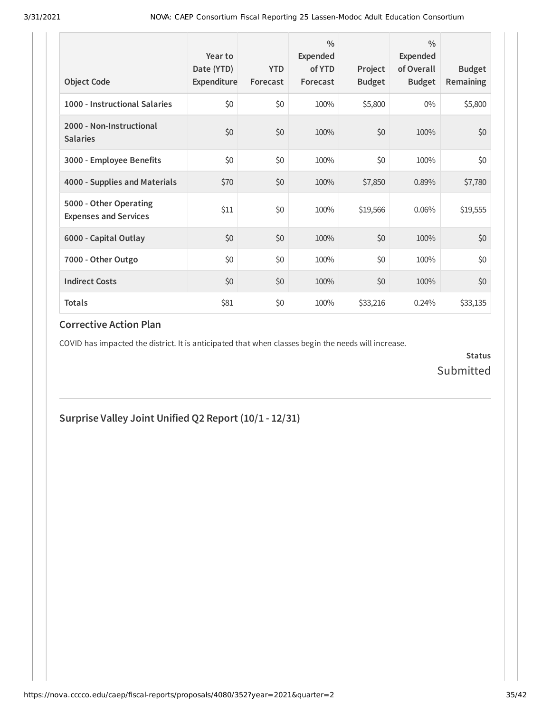| <b>Object Code</b>                                     | Year to<br>Date (YTD)<br>Expenditure | <b>YTD</b><br>Forecast | $\frac{0}{0}$<br>Expended<br>of YTD<br>Forecast | Project<br><b>Budget</b> | $\frac{0}{0}$<br>Expended<br>of Overall<br><b>Budget</b> | <b>Budget</b><br><b>Remaining</b> |
|--------------------------------------------------------|--------------------------------------|------------------------|-------------------------------------------------|--------------------------|----------------------------------------------------------|-----------------------------------|
| 1000 - Instructional Salaries                          | \$0                                  | \$0                    | 100%                                            | \$5,800                  | $0\%$                                                    | \$5,800                           |
| 2000 - Non-Instructional<br><b>Salaries</b>            | \$0                                  | \$0                    | 100%                                            | \$0                      | 100%                                                     | \$0                               |
| 3000 - Employee Benefits                               | \$0                                  | \$0                    | 100%                                            | \$0                      | 100%                                                     | \$0                               |
| 4000 - Supplies and Materials                          | \$70                                 | \$0                    | 100%                                            | \$7,850                  | 0.89%                                                    | \$7,780                           |
| 5000 - Other Operating<br><b>Expenses and Services</b> | \$11                                 | \$0                    | 100%                                            | \$19,566                 | 0.06%                                                    | \$19,555                          |
| 6000 - Capital Outlay                                  | \$0                                  | \$0                    | 100%                                            | \$0                      | 100%                                                     | \$0                               |
| 7000 - Other Outgo                                     | \$0                                  | \$0                    | 100%                                            | \$0                      | 100%                                                     | \$0                               |
| <b>Indirect Costs</b>                                  | \$0                                  | \$0                    | 100%                                            | \$0                      | 100%                                                     | \$0                               |
| <b>Totals</b>                                          | \$81                                 | \$0                    | 100%                                            | \$33,216                 | 0.24%                                                    | \$33,135                          |

COVID has impacted the district. It is anticipated that when classes begin the needs will increase.

**Status** Submitted

**Surprise Valley Joint Unified Q2 Report (10/1 - 12/31)**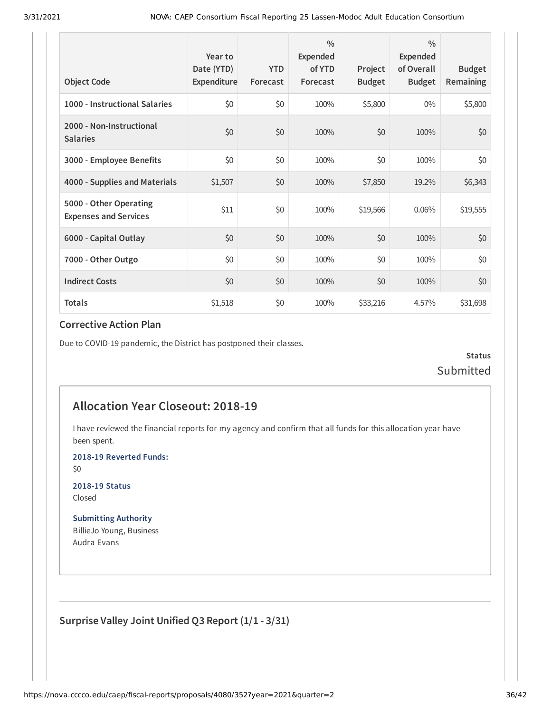| <b>Object Code</b>                                     | Year to<br>Date (YTD)<br>Expenditure | <b>YTD</b><br>Forecast | $\frac{0}{0}$<br>Expended<br>of YTD<br>Forecast | Project<br><b>Budget</b> | $\frac{0}{0}$<br><b>Expended</b><br>of Overall<br><b>Budget</b> | <b>Budget</b><br><b>Remaining</b> |
|--------------------------------------------------------|--------------------------------------|------------------------|-------------------------------------------------|--------------------------|-----------------------------------------------------------------|-----------------------------------|
| 1000 - Instructional Salaries                          | \$0                                  | \$0                    | 100%                                            | \$5,800                  | $0\%$                                                           | \$5,800                           |
| 2000 - Non-Instructional<br><b>Salaries</b>            | \$0                                  | \$0                    | 100%                                            | \$0                      | 100%                                                            | \$0                               |
| 3000 - Employee Benefits                               | \$0                                  | \$0                    | 100%                                            | \$0                      | 100%                                                            | \$0                               |
| 4000 - Supplies and Materials                          | \$1,507                              | \$0                    | 100%                                            | \$7,850                  | 19.2%                                                           | \$6,343                           |
| 5000 - Other Operating<br><b>Expenses and Services</b> | \$11                                 | \$0                    | 100%                                            | \$19,566                 | 0.06%                                                           | \$19,555                          |
| 6000 - Capital Outlay                                  | \$0                                  | \$0                    | 100%                                            | \$0                      | 100%                                                            | \$0                               |
| 7000 - Other Outgo                                     | \$0                                  | \$0                    | 100%                                            | \$0                      | 100%                                                            | \$0                               |
| <b>Indirect Costs</b>                                  | \$0                                  | \$0                    | 100%                                            | \$0                      | 100%                                                            | \$0                               |
| <b>Totals</b>                                          | \$1,518                              | \$0                    | 100%                                            | \$33,216                 | 4.57%                                                           | \$31,698                          |

Due to COVID-19 pandemic, the District has postponed their classes.

**Status** Submitted

### **Allocation Year Closeout: 2018-19**

I have reviewed the financial reports for my agency and confirm that all funds for this allocation year have been spent.

**2018-19 Reverted Funds:**

\$0

**2018-19 Status** Closed

**Submitting Authority** BillieJo Young, Business Audra Evans

**Surprise Valley Joint Unified Q3 Report (1/1 - 3/31)**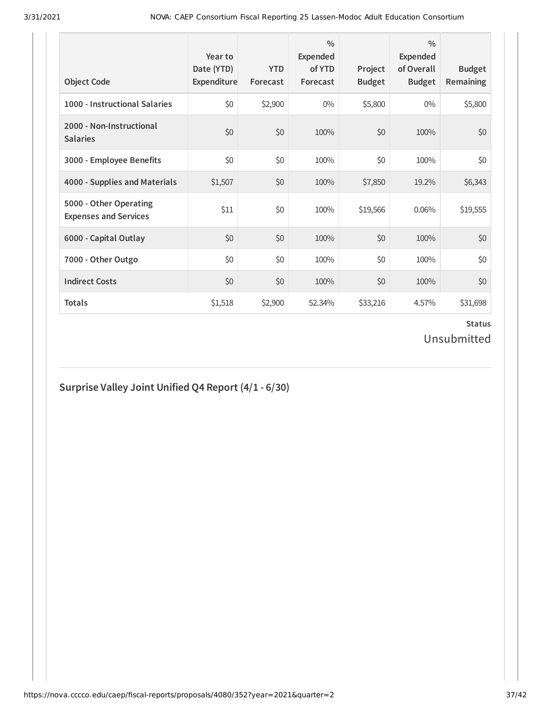| <b>Object Code</b>                                     | Year to<br>Date (YTD)<br>Expenditure | <b>YTD</b><br>Forecast | $\frac{0}{0}$<br>Expended<br>of YTD<br>Forecast | Project<br><b>Budget</b> | $\frac{0}{0}$<br>Expended<br>of Overall<br><b>Budget</b> | <b>Budget</b><br><b>Remaining</b> |
|--------------------------------------------------------|--------------------------------------|------------------------|-------------------------------------------------|--------------------------|----------------------------------------------------------|-----------------------------------|
| 1000 - Instructional Salaries                          | \$0                                  | \$2,900                | $0\%$                                           | \$5,800                  | $0\%$                                                    | \$5,800                           |
| 2000 - Non-Instructional<br><b>Salaries</b>            | \$0                                  | \$0                    | 100%                                            | \$0                      | 100%                                                     | \$0                               |
| 3000 - Employee Benefits                               | \$0                                  | \$0                    | 100%                                            | \$0                      | 100%                                                     | \$0                               |
| 4000 - Supplies and Materials                          | \$1,507                              | \$0                    | 100%                                            | \$7,850                  | 19.2%                                                    | \$6,343                           |
| 5000 - Other Operating<br><b>Expenses and Services</b> | \$11                                 | \$0                    | 100%                                            | \$19,566                 | 0.06%                                                    | \$19,555                          |
| 6000 - Capital Outlay                                  | \$0                                  | \$0                    | 100%                                            | \$0                      | 100%                                                     | \$0                               |
| 7000 - Other Outgo                                     | \$0                                  | \$0                    | 100%                                            | \$0                      | 100%                                                     | \$0                               |
| <b>Indirect Costs</b>                                  | \$0                                  | \$0                    | 100%                                            | \$0                      | 100%                                                     | \$0                               |
| <b>Totals</b>                                          | \$1,518                              | \$2,900                | 52.34%                                          | \$33,216                 | 4.57%                                                    | \$31,698                          |

### **Status** Unsubmitted

### **Surprise Valley Joint Unified Q4 Report (4/1 - 6/30)**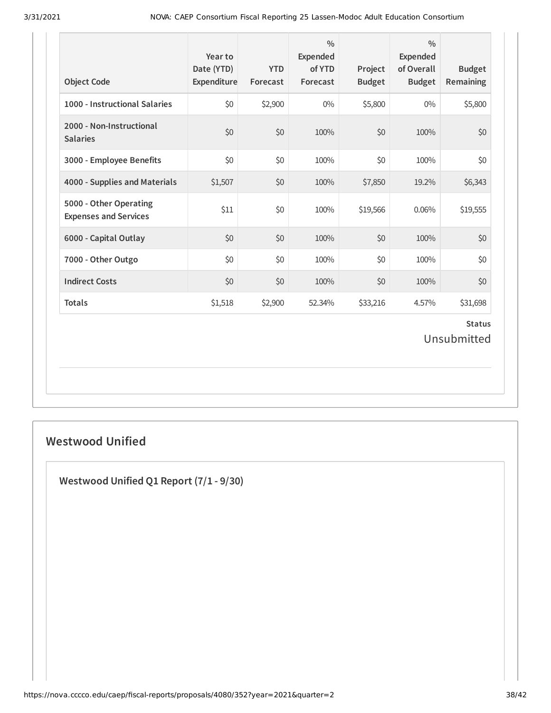| <b>Object Code</b>                                     | Year to<br>Date (YTD)<br>Expenditure | <b>YTD</b><br>Forecast | $\frac{0}{0}$<br><b>Expended</b><br>of YTD<br>Forecast | Project<br><b>Budget</b> | $\frac{0}{0}$<br><b>Expended</b><br>of Overall<br><b>Budget</b> | <b>Budget</b><br>Remaining   |
|--------------------------------------------------------|--------------------------------------|------------------------|--------------------------------------------------------|--------------------------|-----------------------------------------------------------------|------------------------------|
| 1000 - Instructional Salaries                          | \$0                                  | \$2,900                | $0\%$                                                  | \$5,800                  | $0\%$                                                           | \$5,800                      |
| 2000 - Non-Instructional<br><b>Salaries</b>            | \$0                                  | \$0                    | 100%                                                   | \$0                      | 100%                                                            | \$0                          |
| 3000 - Employee Benefits                               | \$0                                  | \$0                    | 100%                                                   | \$0                      | 100%                                                            | \$0                          |
| 4000 - Supplies and Materials                          | \$1,507                              | \$0                    | 100%                                                   | \$7,850                  | 19.2%                                                           | \$6,343                      |
| 5000 - Other Operating<br><b>Expenses and Services</b> | \$11                                 | \$0                    | 100%                                                   | \$19,566                 | 0.06%                                                           | \$19,555                     |
| 6000 - Capital Outlay                                  | \$0                                  | \$0                    | 100%                                                   | \$0                      | 100%                                                            | \$0                          |
| 7000 - Other Outgo                                     | \$0                                  | \$0                    | 100%                                                   | \$0                      | 100%                                                            | \$0                          |
| <b>Indirect Costs</b>                                  | \$0                                  | \$0                    | 100%                                                   | \$0                      | 100%                                                            | \$0                          |
| <b>Totals</b>                                          | \$1,518                              | \$2,900                | 52.34%                                                 | \$33,216                 | 4.57%                                                           | \$31,698                     |
|                                                        |                                      |                        |                                                        |                          |                                                                 | <b>Status</b><br>Unsubmitted |

### **Westwood Unified**

**Westwood Unified Q1 Report (7/1 - 9/30)**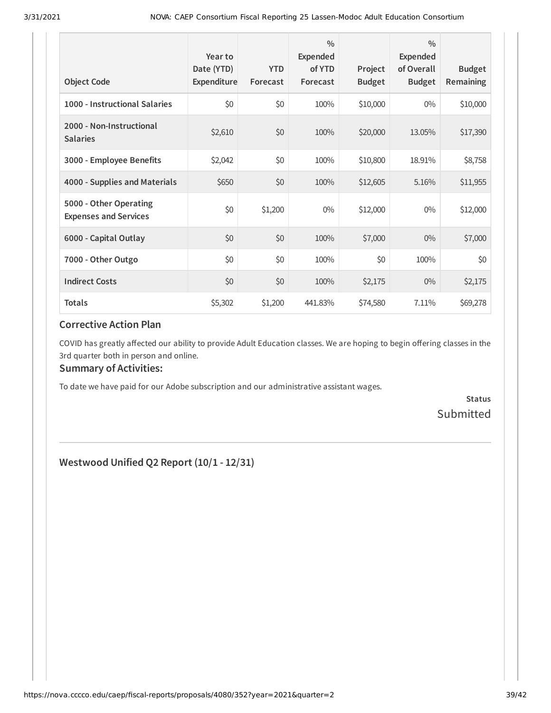| <b>Object Code</b>                                     | Year to<br>Date (YTD)<br>Expenditure | <b>YTD</b><br>Forecast | $\frac{0}{0}$<br>Expended<br>of YTD<br>Forecast | Project<br><b>Budget</b> | $\frac{0}{0}$<br>Expended<br>of Overall<br><b>Budget</b> | <b>Budget</b><br>Remaining |
|--------------------------------------------------------|--------------------------------------|------------------------|-------------------------------------------------|--------------------------|----------------------------------------------------------|----------------------------|
| 1000 - Instructional Salaries                          | \$0                                  | \$0                    | 100%                                            | \$10,000                 | $0\%$                                                    | \$10,000                   |
| 2000 - Non-Instructional<br><b>Salaries</b>            | \$2,610                              | \$0                    | 100%                                            | \$20,000                 | 13.05%                                                   | \$17,390                   |
| 3000 - Employee Benefits                               | \$2,042                              | \$0                    | 100%                                            | \$10,800                 | 18.91%                                                   | \$8,758                    |
| 4000 - Supplies and Materials                          | \$650                                | \$0                    | 100%                                            | \$12,605                 | 5.16%                                                    | \$11,955                   |
| 5000 - Other Operating<br><b>Expenses and Services</b> | \$0                                  | \$1,200                | $0\%$                                           | \$12,000                 | $0\%$                                                    | \$12,000                   |
| 6000 - Capital Outlay                                  | \$0                                  | \$0                    | 100%                                            | \$7,000                  | $0\%$                                                    | \$7,000                    |
| 7000 - Other Outgo                                     | \$0                                  | \$0                    | 100%                                            | \$0                      | 100%                                                     | \$0                        |
| <b>Indirect Costs</b>                                  | \$0                                  | \$0                    | 100%                                            | \$2,175                  | $0\%$                                                    | \$2,175                    |
| <b>Totals</b>                                          | \$5,302                              | \$1,200                | 441.83%                                         | \$74,580                 | 7.11%                                                    | \$69,278                   |

COVID has greatly affected our ability to provide Adult Education classes. We are hoping to begin offering classes in the 3rd quarter both in person and online.

#### **Summary of Activities:**

To date we have paid for our Adobe subscription and our administrative assistant wages.

**Status** Submitted

**Westwood Unified Q2 Report (10/1 - 12/31)**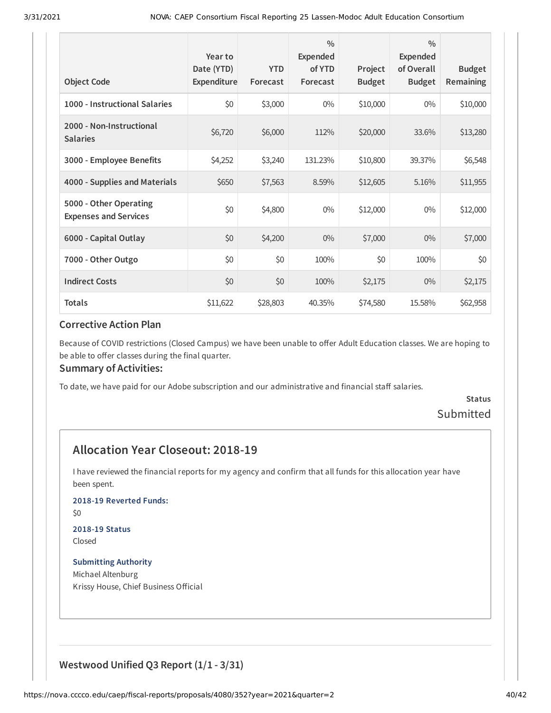| <b>Object Code</b>                                     | Year to<br>Date (YTD)<br>Expenditure | <b>YTD</b><br>Forecast | $\frac{0}{0}$<br><b>Expended</b><br>of YTD<br>Forecast | Project<br><b>Budget</b> | $\frac{0}{0}$<br>Expended<br>of Overall<br><b>Budget</b> | <b>Budget</b><br><b>Remaining</b> |
|--------------------------------------------------------|--------------------------------------|------------------------|--------------------------------------------------------|--------------------------|----------------------------------------------------------|-----------------------------------|
| 1000 - Instructional Salaries                          | \$0                                  | \$3,000                | $0\%$                                                  | \$10,000                 | $0\%$                                                    | \$10,000                          |
| 2000 - Non-Instructional<br><b>Salaries</b>            | \$6,720                              | \$6,000                | 112%                                                   | \$20,000                 | 33.6%                                                    | \$13,280                          |
| 3000 - Employee Benefits                               | \$4,252                              | \$3,240                | 131.23%                                                | \$10,800                 | 39.37%                                                   | \$6,548                           |
| 4000 - Supplies and Materials                          | \$650                                | \$7,563                | 8.59%                                                  | \$12,605                 | 5.16%                                                    | \$11,955                          |
| 5000 - Other Operating<br><b>Expenses and Services</b> | \$0                                  | \$4,800                | $0\%$                                                  | \$12,000                 | $0\%$                                                    | \$12,000                          |
| 6000 - Capital Outlay                                  | \$0                                  | \$4,200                | $0\%$                                                  | \$7,000                  | $0\%$                                                    | \$7,000                           |
| 7000 - Other Outgo                                     | \$0                                  | \$0                    | 100%                                                   | \$0                      | 100%                                                     | \$0                               |
| <b>Indirect Costs</b>                                  | \$0                                  | \$0                    | 100%                                                   | \$2,175                  | $0\%$                                                    | \$2,175                           |
| <b>Totals</b>                                          | \$11,622                             | \$28,803               | 40.35%                                                 | \$74,580                 | 15.58%                                                   | \$62,958                          |

Because of COVID restrictions (Closed Campus) we have been unable to offer Adult Education classes. We are hoping to be able to offer classes during the final quarter.

#### **Summary of Activities:**

To date, we have paid for our Adobe subscription and our administrative and financial staff salaries.

### **Status** Submitted

### **Allocation Year Closeout: 2018-19**

I have reviewed the financial reports for my agency and confirm that all funds for this allocation year have been spent.

**2018-19 Reverted Funds:**

\$0

## **2018-19 Status**

Closed

**Submitting Authority** Michael Altenburg Krissy House, Chief Business Official

### **Westwood Unified Q3 Report (1/1 - 3/31)**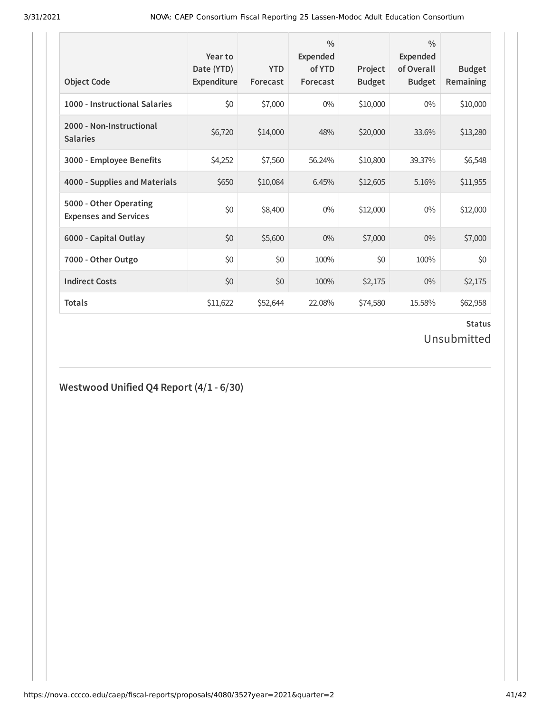| <b>Object Code</b>                                     | Year to<br>Date (YTD)<br>Expenditure | <b>YTD</b><br>Forecast | $\frac{0}{0}$<br><b>Expended</b><br>of YTD<br>Forecast | Project<br><b>Budget</b> | $\frac{0}{0}$<br>Expended<br>of Overall<br><b>Budget</b> | <b>Budget</b><br><b>Remaining</b> |
|--------------------------------------------------------|--------------------------------------|------------------------|--------------------------------------------------------|--------------------------|----------------------------------------------------------|-----------------------------------|
| 1000 - Instructional Salaries                          | \$0                                  | \$7,000                | $0\%$                                                  | \$10,000                 | $0\%$                                                    | \$10,000                          |
| 2000 - Non-Instructional<br><b>Salaries</b>            | \$6,720                              | \$14,000               | 48%                                                    | \$20,000                 | 33.6%                                                    | \$13,280                          |
| 3000 - Employee Benefits                               | \$4,252                              | \$7,560                | 56.24%                                                 | \$10,800                 | 39.37%                                                   | \$6,548                           |
| 4000 - Supplies and Materials                          | \$650                                | \$10,084               | 6.45%                                                  | \$12,605                 | 5.16%                                                    | \$11,955                          |
| 5000 - Other Operating<br><b>Expenses and Services</b> | \$0                                  | \$8,400                | $0\%$                                                  | \$12,000                 | $0\%$                                                    | \$12,000                          |
| 6000 - Capital Outlay                                  | \$0                                  | \$5,600                | $0\%$                                                  | \$7,000                  | $0\%$                                                    | \$7,000                           |
| 7000 - Other Outgo                                     | \$0                                  | \$0                    | 100%                                                   | \$0                      | 100%                                                     | \$0                               |
| <b>Indirect Costs</b>                                  | \$0                                  | \$0                    | 100%                                                   | \$2,175                  | $0\%$                                                    | \$2,175                           |
| <b>Totals</b>                                          | \$11,622                             | \$52,644               | 22.08%                                                 | \$74,580                 | 15.58%                                                   | \$62,958                          |

### **Status** Unsubmitted

### **Westwood Unified Q4 Report (4/1 - 6/30)**